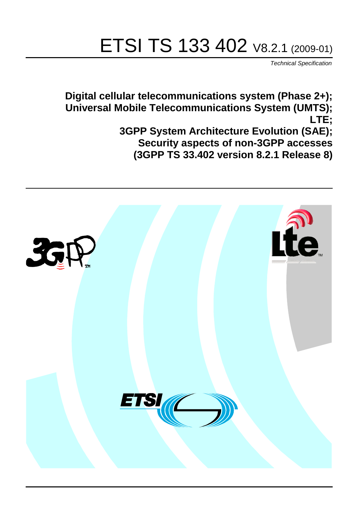# ETSI TS 133 402 V8.2.1 (2009-01)

*Technical Specification*

**Digital cellular telecommunications system (Phase 2+); Universal Mobile Telecommunications System (UMTS); LTE; 3GPP System Architecture Evolution (SAE); Security aspects of non-3GPP accesses (3GPP TS 33.402 version 8.2.1 Release 8)**

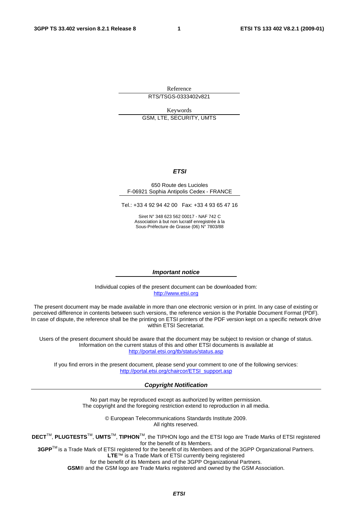Reference RTS/TSGS-0333402v821

Keywords GSM, LTE, SECURITY, UMTS

#### *ETSI*

#### 650 Route des Lucioles F-06921 Sophia Antipolis Cedex - FRANCE

Tel.: +33 4 92 94 42 00 Fax: +33 4 93 65 47 16

Siret N° 348 623 562 00017 - NAF 742 C Association à but non lucratif enregistrée à la Sous-Préfecture de Grasse (06) N° 7803/88

#### *Important notice*

Individual copies of the present document can be downloaded from: [http://www.etsi.org](http://www.etsi.org/)

The present document may be made available in more than one electronic version or in print. In any case of existing or perceived difference in contents between such versions, the reference version is the Portable Document Format (PDF). In case of dispute, the reference shall be the printing on ETSI printers of the PDF version kept on a specific network drive within ETSI Secretariat.

Users of the present document should be aware that the document may be subject to revision or change of status. Information on the current status of this and other ETSI documents is available at <http://portal.etsi.org/tb/status/status.asp>

If you find errors in the present document, please send your comment to one of the following services: [http://portal.etsi.org/chaircor/ETSI\\_support.asp](http://portal.etsi.org/chaircor/ETSI_support.asp)

#### *Copyright Notification*

No part may be reproduced except as authorized by written permission. The copyright and the foregoing restriction extend to reproduction in all media.

> © European Telecommunications Standards Institute 2009. All rights reserved.

**DECT**TM, **PLUGTESTS**TM, **UMTS**TM, **TIPHON**TM, the TIPHON logo and the ETSI logo are Trade Marks of ETSI registered for the benefit of its Members.

**3GPP**TM is a Trade Mark of ETSI registered for the benefit of its Members and of the 3GPP Organizational Partners. **LTE**™ is a Trade Mark of ETSI currently being registered

for the benefit of its Members and of the 3GPP Organizational Partners.

**GSM**® and the GSM logo are Trade Marks registered and owned by the GSM Association.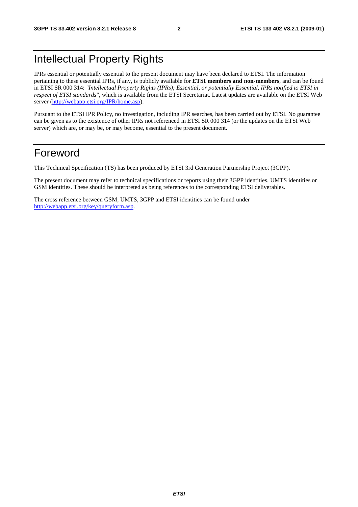# Intellectual Property Rights

IPRs essential or potentially essential to the present document may have been declared to ETSI. The information pertaining to these essential IPRs, if any, is publicly available for **ETSI members and non-members**, and can be found in ETSI SR 000 314: *"Intellectual Property Rights (IPRs); Essential, or potentially Essential, IPRs notified to ETSI in respect of ETSI standards"*, which is available from the ETSI Secretariat. Latest updates are available on the ETSI Web server ([http://webapp.etsi.org/IPR/home.asp\)](http://webapp.etsi.org/IPR/home.asp).

Pursuant to the ETSI IPR Policy, no investigation, including IPR searches, has been carried out by ETSI. No guarantee can be given as to the existence of other IPRs not referenced in ETSI SR 000 314 (or the updates on the ETSI Web server) which are, or may be, or may become, essential to the present document.

# Foreword

This Technical Specification (TS) has been produced by ETSI 3rd Generation Partnership Project (3GPP).

The present document may refer to technical specifications or reports using their 3GPP identities, UMTS identities or GSM identities. These should be interpreted as being references to the corresponding ETSI deliverables.

The cross reference between GSM, UMTS, 3GPP and ETSI identities can be found under [http://webapp.etsi.org/key/queryform.asp.](http://webapp.etsi.org/key/queryform.asp)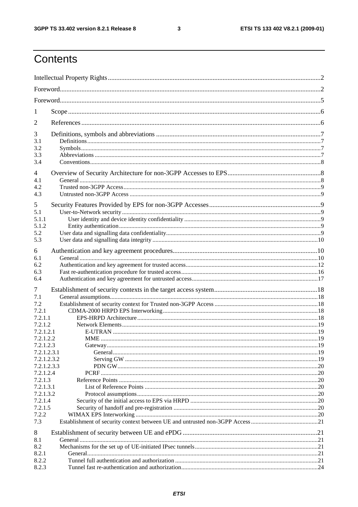$\mathbf{3}$ 

# Contents

| 1                          |  |  |  |  |  |
|----------------------------|--|--|--|--|--|
| 2                          |  |  |  |  |  |
| 3                          |  |  |  |  |  |
| 3.1                        |  |  |  |  |  |
| 3.2<br>3.3                 |  |  |  |  |  |
| 3.4                        |  |  |  |  |  |
| 4                          |  |  |  |  |  |
| 4.1                        |  |  |  |  |  |
| 4.2                        |  |  |  |  |  |
| 4.3                        |  |  |  |  |  |
| 5                          |  |  |  |  |  |
| 5.1                        |  |  |  |  |  |
| 5.1.1<br>5.1.2             |  |  |  |  |  |
| 5.2                        |  |  |  |  |  |
| 5.3                        |  |  |  |  |  |
| 6                          |  |  |  |  |  |
| 6.1                        |  |  |  |  |  |
| 6.2                        |  |  |  |  |  |
| 6.3                        |  |  |  |  |  |
| 6.4                        |  |  |  |  |  |
| 7                          |  |  |  |  |  |
| 7.1                        |  |  |  |  |  |
| 7.2                        |  |  |  |  |  |
| 7.2.1<br>7.2.1.1           |  |  |  |  |  |
| 7.2.1.2                    |  |  |  |  |  |
| 7.2.1.2.1                  |  |  |  |  |  |
| 7.2.1.2.2                  |  |  |  |  |  |
| 7.2.1.2.3                  |  |  |  |  |  |
| 7.2.1.2.3.1                |  |  |  |  |  |
| 7.2.1.2.3.2<br>7.2.1.2.3.3 |  |  |  |  |  |
| 7.2.1.2.4                  |  |  |  |  |  |
| 7.2.1.3                    |  |  |  |  |  |
| 7.2.1.3.1                  |  |  |  |  |  |
| 7.2.1.3.2                  |  |  |  |  |  |
| 7.2.1.4                    |  |  |  |  |  |
| 7.2.1.5<br>7.2.2           |  |  |  |  |  |
| 7.3                        |  |  |  |  |  |
|                            |  |  |  |  |  |
| 8<br>8.1                   |  |  |  |  |  |
| 8.2                        |  |  |  |  |  |
| 8.2.1                      |  |  |  |  |  |
| 8.2.2                      |  |  |  |  |  |
| 8.2.3                      |  |  |  |  |  |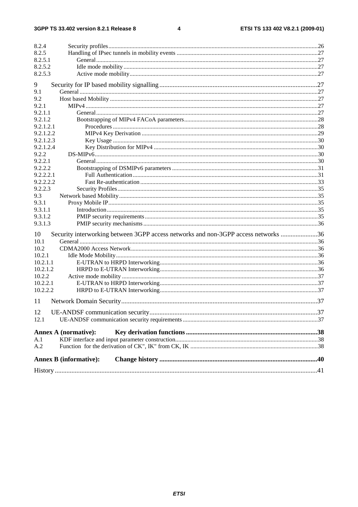$\overline{\mathbf{4}}$ 

| 8.2.4     |                                                                                    |  |
|-----------|------------------------------------------------------------------------------------|--|
| 8.2.5     |                                                                                    |  |
| 8.2.5.1   |                                                                                    |  |
| 8.2.5.2   |                                                                                    |  |
| 8.2.5.3   |                                                                                    |  |
| 9         |                                                                                    |  |
| 9.1       |                                                                                    |  |
| 9.2       |                                                                                    |  |
| 9.2.1     |                                                                                    |  |
| 9.2.1.1   |                                                                                    |  |
| 9.2.1.2   |                                                                                    |  |
| 9.2.1.2.1 |                                                                                    |  |
| 9.2.1.2.2 |                                                                                    |  |
| 9.2.1.2.3 |                                                                                    |  |
| 9.2.1.2.4 |                                                                                    |  |
| 9.2.2     |                                                                                    |  |
| 9.2.2.1   |                                                                                    |  |
| 9.2.2.2   |                                                                                    |  |
| 9.2.2.2.1 |                                                                                    |  |
| 9.2.2.2.2 |                                                                                    |  |
| 9.2.2.3   |                                                                                    |  |
| 9.3       |                                                                                    |  |
| 9.3.1     |                                                                                    |  |
| 9.3.1.1   |                                                                                    |  |
| 9.3.1.2   |                                                                                    |  |
| 9.3.1.3   |                                                                                    |  |
|           |                                                                                    |  |
| 10        | Security interworking between 3GPP access networks and non-3GPP access networks 36 |  |
| 10.1      |                                                                                    |  |
| 10.2      |                                                                                    |  |
| 10.2.1    |                                                                                    |  |
| 10.2.1.1  |                                                                                    |  |
| 10.2.1.2  |                                                                                    |  |
| 10.2.2    |                                                                                    |  |
| 10.2.2.1  |                                                                                    |  |
| 10.2.2.2  |                                                                                    |  |
| 11        |                                                                                    |  |
| 12        |                                                                                    |  |
| 12.1      |                                                                                    |  |
|           |                                                                                    |  |
|           | <b>Annex A (normative):</b>                                                        |  |
| A.1       |                                                                                    |  |
| A.2       |                                                                                    |  |
|           | <b>Annex B</b> (informative):                                                      |  |
|           |                                                                                    |  |
|           |                                                                                    |  |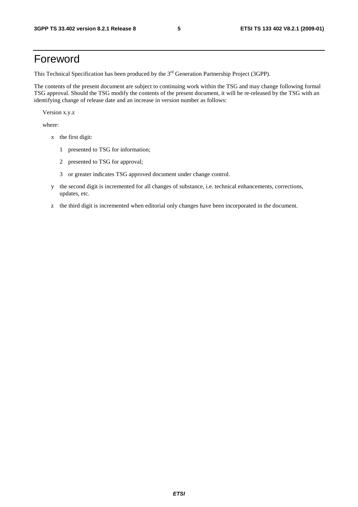# Foreword

This Technical Specification has been produced by the 3<sup>rd</sup> Generation Partnership Project (3GPP).

The contents of the present document are subject to continuing work within the TSG and may change following formal TSG approval. Should the TSG modify the contents of the present document, it will be re-released by the TSG with an identifying change of release date and an increase in version number as follows:

Version x.y.z

where:

- x the first digit:
	- 1 presented to TSG for information;
	- 2 presented to TSG for approval;
	- 3 or greater indicates TSG approved document under change control.
- y the second digit is incremented for all changes of substance, i.e. technical enhancements, corrections, updates, etc.
- z the third digit is incremented when editorial only changes have been incorporated in the document.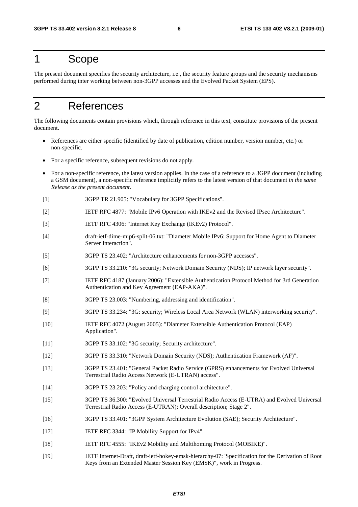# 1 Scope

The present document specifies the security architecture, i.e., the security feature groups and the security mechanisms performed during inter working between non-3GPP accesses and the Evolved Packet System (EPS).

# 2 References

The following documents contain provisions which, through reference in this text, constitute provisions of the present document.

- References are either specific (identified by date of publication, edition number, version number, etc.) or non-specific.
- For a specific reference, subsequent revisions do not apply.
- For a non-specific reference, the latest version applies. In the case of a reference to a 3GPP document (including a GSM document), a non-specific reference implicitly refers to the latest version of that document *in the same Release as the present document*.
- [1] 3GPP TR 21.905: "Vocabulary for 3GPP Specifications".
- [2] IETF RFC 4877: "Mobile IPv6 Operation with IKEv2 and the Revised IPsec Architecture".
- [3] IETF RFC 4306: "Internet Key Exchange (IKEv2) Protocol".
- [4] draft-ietf-dime-mip6-split-06.txt: "Diameter Mobile IPv6: Support for Home Agent to Diameter Server Interaction".
- [5] 3GPP TS 23.402: "Architecture enhancements for non-3GPP accesses".
- [6] 3GPP TS 33.210: "3G security; Network Domain Security (NDS); IP network layer security".
- [7] IETF RFC 4187 (January 2006): "Extensible Authentication Protocol Method for 3rd Generation Authentication and Key Agreement (EAP-AKA)".
- [8] 3GPP TS 23.003: "Numbering, addressing and identification".
- [9] 3GPP TS 33.234: "3G: security; Wireless Local Area Network (WLAN) interworking security".
- [10] IETF RFC 4072 (August 2005): "Diameter Extensible Authentication Protocol (EAP) Application".
- [11] 3GPP TS 33.102: "3G security; Security architecture".
- [12] 3GPP TS 33.310: "Network Domain Security (NDS); Authentication Framework (AF)".
- [13] 3GPP TS 23.401: "General Packet Radio Service (GPRS) enhancements for Evolved Universal Terrestrial Radio Access Network (E-UTRAN) access".
- [14] 3GPP TS 23.203: "Policy and charging control architecture".
- [15] 3GPP TS 36.300: "Evolved Universal Terrestrial Radio Access (E-UTRA) and Evolved Universal Terrestrial Radio Access (E-UTRAN); Overall description; Stage 2".
- [16] 3GPP TS 33.401: "3GPP System Architecture Evolution (SAE); Security Architecture".
- [17] IETF RFC 3344: "IP Mobility Support for IPv4".
- [18] IETF RFC 4555: "IKEv2 Mobility and Multihoming Protocol (MOBIKE)".
- [19] IETF Internet-Draft, draft-ietf-hokey-emsk-hierarchy-07: 'Specification for the Derivation of Root Keys from an Extended Master Session Key (EMSK)", work in Progress.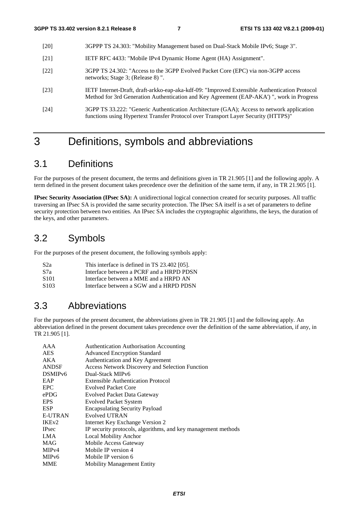- [20] 3GPPP TS 24.303: "Mobility Management based on Dual-Stack Mobile IPv6; Stage 3".
- [21] IETF RFC 4433: "Mobile IPv4 Dynamic Home Agent (HA) Assignment".
- [22] 3GPP TS 24.302: "Access to the 3GPP Evolved Packet Core (EPC) via non-3GPP access networks; Stage 3; (Release 8) ".
- [23] IETF Internet-Draft, draft-arkko-eap-aka-kdf-09: "Improved Extensible Authentication Protocol Method for 3rd Generation Authentication and Key Agreement (EAP-AKA') ", work in Progress
- [24] 3GPP TS 33.222: "Generic Authentication Architecture (GAA); Access to network application functions using Hypertext Transfer Protocol over Transport Layer Security (HTTPS)"

# 3 Definitions, symbols and abbreviations

# 3.1 Definitions

For the purposes of the present document, the terms and definitions given in TR 21.905 [1] and the following apply. A term defined in the present document takes precedence over the definition of the same term, if any, in TR 21.905 [1].

**IPsec Security Association (IPsec SA):** A unidirectional logical connection created for security purposes. All traffic traversing an IPsec SA is provided the same security protection. The IPsec SA itself is a set of parameters to define security protection between two entities. An IPsec SA includes the cryptographic algorithms, the keys, the duration of the keys, and other parameters.

## 3.2 Symbols

For the purposes of the present document, the following symbols apply:

| S <sub>2</sub> a | This interface is defined in TS 23.402 [05]. |
|------------------|----------------------------------------------|
| S7a              | Interface between a PCRF and a HRPD PDSN     |
| S101             | Interface between a MME and a HRPD AN        |
| S <sub>103</sub> | Interface between a SGW and a HRPD PDSN      |

## 3.3 Abbreviations

For the purposes of the present document, the abbreviations given in TR 21.905 [1] and the following apply. An abbreviation defined in the present document takes precedence over the definition of the same abbreviation, if any, in TR 21.905 [1].

| AAA                 | <b>Authentication Authorisation Accounting</b>                |
|---------------------|---------------------------------------------------------------|
| <b>AES</b>          | <b>Advanced Encryption Standard</b>                           |
| AKA                 | Authentication and Key Agreement                              |
| <b>ANDSF</b>        | Access Network Discovery and Selection Function               |
| DSMIP <sub>v6</sub> | Dual-Stack MIPv6                                              |
| EAP                 | Extensible Authentication Protocol                            |
| <b>EPC</b>          | <b>Evolved Packet Core</b>                                    |
| ePDG                | Evolved Packet Data Gateway                                   |
| <b>EPS</b>          | <b>Evolved Packet System</b>                                  |
| <b>ESP</b>          | <b>Encapsulating Security Payload</b>                         |
| <b>E-UTRAN</b>      | <b>Evolved UTRAN</b>                                          |
| IKE <sub>v2</sub>   | Internet Key Exchange Version 2                               |
| <b>IPsec</b>        | IP security protocols, algorithms, and key management methods |
| LMA                 | Local Mobility Anchor                                         |
| <b>MAG</b>          | Mobile Access Gateway                                         |
| MIP <sub>v4</sub>   | Mobile IP version 4                                           |
| MIP <sub>v</sub> 6  | Mobile IP version 6                                           |
| <b>MME</b>          | <b>Mobility Management Entity</b>                             |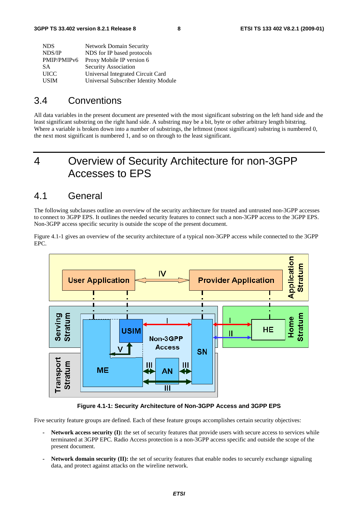| <b>NDS</b>              | <b>Network Domain Security</b>       |
|-------------------------|--------------------------------------|
| NDS/IP                  | NDS for IP based protocols           |
| PMIP/PMIP <sub>v6</sub> | Proxy Mobile IP version 6            |
| SΑ                      | Security Association                 |
| <b>UICC</b>             | Universal Integrated Circuit Card    |
| <b>USIM</b>             | Universal Subscriber Identity Module |

## 3.4 Conventions

All data variables in the present document are presented with the most significant substring on the left hand side and the least significant substring on the right hand side. A substring may be a bit, byte or other arbitrary length bitstring. Where a variable is broken down into a number of substrings, the leftmost (most significant) substring is numbered 0, the next most significant is numbered 1, and so on through to the least significant.

# 4 Overview of Security Architecture for non-3GPP Accesses to EPS

## 4.1 General

The following subclauses outline an overview of the security architecture for trusted and untrusted non-3GPP accesses to connect to 3GPP EPS. It outlines the needed security features to connect such a non-3GPP access to the 3GPP EPS. Non-3GPP access specific security is outside the scope of the present document.

Figure 4.1-1 gives an overview of the security architecture of a typical non-3GPP access while connected to the 3GPP EPC.



**Figure 4.1-1: Security Architecture of Non-3GPP Access and 3GPP EPS** 

Five security feature groups are defined. Each of these feature groups accomplishes certain security objectives:

- **Network access security (I):** the set of security features that provide users with secure access to services while terminated at 3GPP EPC. Radio Access protection is a non-3GPP access specific and outside the scope of the present document.
- **Network domain security (II):** the set of security features that enable nodes to securely exchange signaling data, and protect against attacks on the wireline network.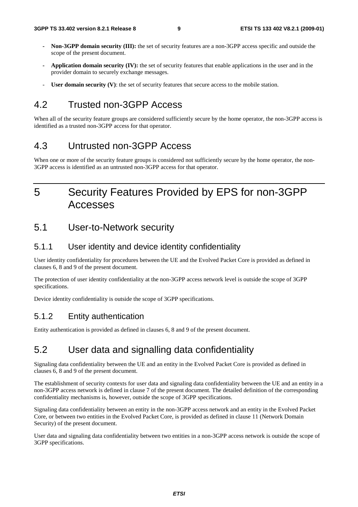- **Non-3GPP domain security (III):** the set of security features are a non-3GPP access specific and outside the scope of the present document.
- **Application domain security (IV):** the set of security features that enable applications in the user and in the provider domain to securely exchange messages.
- User domain security (V): the set of security features that secure access to the mobile station.

# 4.2 Trusted non-3GPP Access

When all of the security feature groups are considered sufficiently secure by the home operator, the non-3GPP access is identified as a trusted non-3GPP access for that operator.

## 4.3 Untrusted non-3GPP Access

When one or more of the security feature groups is considered not sufficiently secure by the home operator, the non-3GPP access is identified as an untrusted non-3GPP access for that operator.

# 5 Security Features Provided by EPS for non-3GPP Accesses

## 5.1 User-to-Network security

## 5.1.1 User identity and device identity confidentiality

User identity confidentiality for procedures between the UE and the Evolved Packet Core is provided as defined in clauses 6, 8 and 9 of the present document.

The protection of user identity confidentiality at the non-3GPP access network level is outside the scope of 3GPP specifications.

Device identity confidentiality is outside the scope of 3GPP specifications.

## 5.1.2 Entity authentication

Entity authentication is provided as defined in clauses 6, 8 and 9 of the present document.

## 5.2 User data and signalling data confidentiality

Signaling data confidentiality between the UE and an entity in the Evolved Packet Core is provided as defined in clauses 6, 8 and 9 of the present document.

The establishment of security contexts for user data and signaling data confidentiality between the UE and an entity in a non-3GPP access network is defined in clause 7 of the present document. The detailed definition of the corresponding confidentiality mechanisms is, however, outside the scope of 3GPP specifications.

Signaling data confidentiality between an entity in the non-3GPP access network and an entity in the Evolved Packet Core, or between two entities in the Evolved Packet Core, is provided as defined in clause 11 (Network Domain Security) of the present document.

User data and signaling data confidentiality between two entities in a non-3GPP access network is outside the scope of 3GPP specifications.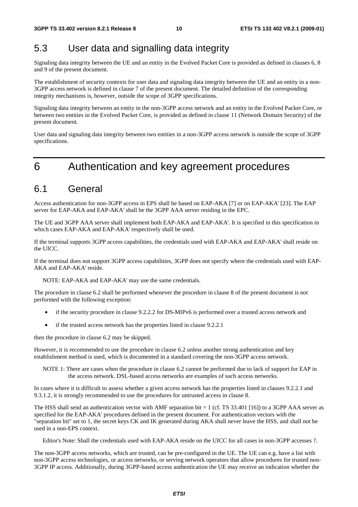# 5.3 User data and signalling data integrity

Signaling data integrity between the UE and an entity in the Evolved Packet Core is provided as defined in clauses 6, 8 and 9 of the present document.

The establishment of security contexts for user data and signaling data integrity between the UE and an entity in a non-3GPP access network is defined in clause 7 of the present document. The detailed definition of the corresponding integrity mechanisms is, however, outside the scope of 3GPP specifications.

Signaling data integrity between an entity in the non-3GPP access network and an entity in the Evolved Packet Core, or between two entities in the Evolved Packet Core, is provided as defined in clause 11 (Network Domain Security) of the present document.

User data and signaling data integrity between two entities in a non-3GPP access network is outside the scope of 3GPP specifications.

# 6 Authentication and key agreement procedures

## 6.1 General

Access authentication for non-3GPP access in EPS shall be based on EAP-AKA [7] or on EAP-AKA' [23]. The EAP server for EAP-AKA and EAP-AKA' shall be the 3GPP AAA server residing in the EPC.

The UE and 3GPP AAA server shall implement both EAP-AKA and EAP-AKA'. It is specified in this specification in which cases EAP-AKA and EAP-AKA' respectively shall be used.

If the terminal supports 3GPP access capabilities, the credentials used with EAP-AKA and EAP-AKA' shall reside on the UICC.

If the terminal does not support 3GPP access capabilities, 3GPP does not specify where the credentials used with EAP-AKA and EAP-AKA' reside.

NOTE: EAP-AKA and EAP-AKA' may use the same credentials.

The procedure in clause 6.2 shall be performed whenever the procedure in clause 8 of the present document is not performed with the following exception:

- if the security procedure in clause 9.2.2.2 for DS-MIPv6 is performed over a trusted access network and
- if the trusted access network has the properties listed in clause 9.2.2.1

then the procedure in clause 6.2 may be skipped.

However, it is recommended to use the procedure in clause 6.2 unless another strong authentication and key establishment method is used, which is documented in a standard covering the non-3GPP access network.

NOTE 1: There are cases when the procedure in clause 6.2 cannot be performed due to lack of support for EAP in the access network. DSL-based access networks are examples of such access networks.

In cases where it is difficult to assess whether a given access network has the properties listed in clauses 9.2.2.1 and 9.3.1.2, it is strongly recommended to use the procedures for untrusted access in clause 8.

The HSS shall send an authentication vector with AMF separation bit = 1 (cf. TS 33.401 [16]) to a 3GPP AAA server as specified for the EAP-AKA' procedures defined in the present document. For authentication vectors with the "separation bit" set to 1, the secret keys CK and IK generated during AKA shall never leave the HSS, and shall not be used in a non-EPS context.

Editor's Note: Shall the credentials used with EAP-AKA reside on the UICC for all cases in non-3GPP accesses ?.

The non-3GPP access networks, which are trusted, can be pre-configured in the UE. The UE can e.g. have a list with non-3GPP access technologies, or access networks, or serving network operators that allow procedures for trusted non-3GPP IP access. Additionally, during 3GPP-based access authentication the UE may receive an indication whether the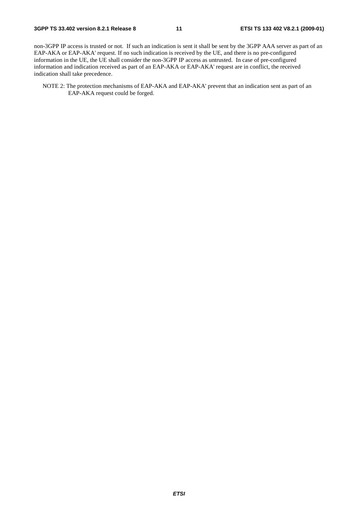non-3GPP IP access is trusted or not. If such an indication is sent it shall be sent by the 3GPP AAA server as part of an EAP-AKA or EAP-AKA' request. If no such indication is received by the UE, and there is no pre-configured information in the UE, the UE shall consider the non-3GPP IP access as untrusted. In case of pre-configured information and indication received as part of an EAP-AKA or EAP-AKA' request are in conflict, the received indication shall take precedence.

NOTE 2: The protection mechanisms of EAP-AKA and EAP-AKA' prevent that an indication sent as part of an EAP-AKA request could be forged.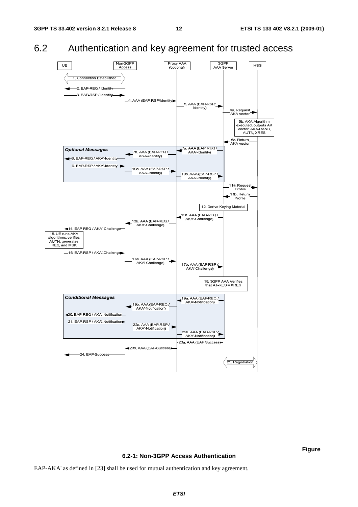# 6.2 Authentication and key agreement for trusted access



#### **6.2-1: Non-3GPP Access Authentication**

**Figure** 

EAP-AKA' as defined in [23] shall be used for mutual authentication and key agreement.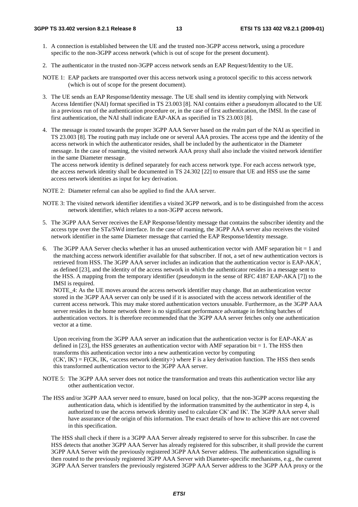- 1. A connection is established between the UE and the trusted non-3GPP access network, using a procedure specific to the non-3GPP access network (which is out of scope for the present document).
- 2. The authenticator in the trusted non-3GPP access network sends an EAP Request/Identity to the UE.
- NOTE 1: EAP packets are transported over this access network using a protocol specific to this access network (which is out of scope for the present document).
- 3. The UE sends an EAP Response/Identity message. The UE shall send its identity complying with Network Access Identifier (NAI) format specified in TS 23.003 [8]. NAI contains either a pseudonym allocated to the UE in a previous run of the authentication procedure or, in the case of first authentication, the IMSI. In the case of first authentication, the NAI shall indicate EAP-AKA as specified in TS 23.003 [8].
- 4. The message is routed towards the proper 3GPP AAA Server based on the realm part of the NAI as specified in TS 23.003 [8]. The routing path may include one or several AAA proxies. The access type and the identity of the access network in which the authenticator resides, shall be included by the authenticator in the Diameter message. In the case of roaming, the visited network AAA proxy shall also include the visited network identifier in the same Diameter message.

The access network identity is defined separately for each access network type. For each access network type, the access network identity shall be documented in TS 24.302 [22] to ensure that UE and HSS use the same access network identities as input for key derivation.

NOTE 2: Diameter referral can also be applied to find the AAA server.

- NOTE 3: The visited network identifier identifies a visited 3GPP network, and is to be distinguished from the access network identifier, which relates to a non-3GPP access network.
- 5. The 3GPP AAA Server receives the EAP Response/Identity message that contains the subscriber identity and the access type over the STa/SWd interface. In the case of roaming, the 3GPP AAA server also receives the visited network identifier in the same Diameter message that carried the EAP Response/Identity message.
- 6. The 3GPP AAA Server checks whether it has an unused authentication vector with AMF separation bit  $= 1$  and the matching access network identifier available for that subscriber. If not, a set of new authentication vectors is retrieved from HSS. The 3GPP AAA server includes an indication that the authentication vector is EAP-AKA', as defined [23], and the identity of the access network in which the authenticator resides in a message sent to the HSS. A mapping from the temporary identifier (pseudonym in the sense of RFC 4187 EAP-AKA [7]) to the IMSI is required.

NOTE\_4: As the UE moves around the access network identifier may change. But an authentication vector stored in the 3GPP AAA server can only be used if it is associated with the access network identifier of the current access network. This may make stored authentication vectors unusable. Furthermore, as the 3GPP AAA server resides in the home network there is no significant performance advantage in fetching batches of authentication vectors. It is therefore recommended that the 3GPP AAA server fetches only one authentication vector at a time.

Upon receiving from the 3GPP AAA server an indication that the authentication vector is for EAP-AKA' as defined in  $[23]$ , the HSS generates an authentication vector with AMF separation bit = 1. The HSS then transforms this authentication vector into a new authentication vector by computing  $(CK', IK') = F(CK, IK, < access network identity)$  where F is a key derivation function. The HSS then sends this transformed authentication vector to the 3GPP AAA server.

- NOTE 5: The 3GPP AAA server does not notice the transformation and treats this authentication vector like any other authentication vector.
- The HSS and/or 3GPP AAA server need to ensure, based on local policy, that the non-3GPP access requesting the authentication data, which is identified by the information transmitted by the authenticator in step 4, is authorized to use the access network identity used to calculate CK' and IK'. The 3GPP AAA server shall have assurance of the origin of this information. The exact details of how to achieve this are not covered in this specification.

 The HSS shall check if there is a 3GPP AAA Server already registered to serve for this subscriber. In case the HSS detects that another 3GPP AAA Server has already registered for this subscriber, it shall provide the current 3GPP AAA Server with the previously registered 3GPP AAA Server address. The authentication signalling is then routed to the previously registered 3GPP AAA Server with Diameter-specific mechanisms, e.g., the current 3GPP AAA Server transfers the previously registered 3GPP AAA Server address to the 3GPP AAA proxy or the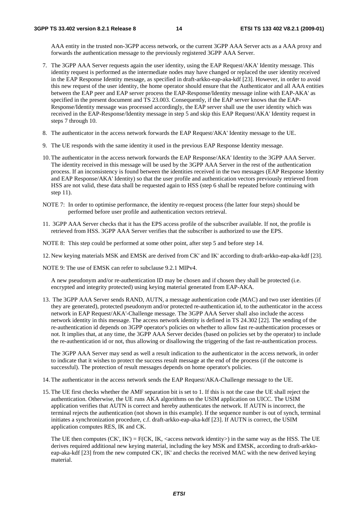AAA entity in the trusted non-3GPP access network, or the current 3GPP AAA Server acts as a AAA proxy and forwards the authentication message to the previously registered 3GPP AAA Server.

- 7. The 3GPP AAA Server requests again the user identity, using the EAP Request/AKA' Identity message. This identity request is performed as the intermediate nodes may have changed or replaced the user identity received in the EAP Response Identity message, as specified in draft-arkko-eap-aka-kdf [23]. However, in order to avoid this new request of the user identity, the home operator should ensure that the Authenticator and all AAA entities between the EAP peer and EAP server process the EAP-Response/Identity message inline with EAP-AKA' as specified in the present document and TS 23.003. Consequently, if the EAP server knows that the EAP-Response/Identity message was processed accordingly, the EAP server shall use the user identity which was received in the EAP-Response/Identity message in step 5 and skip this EAP Request/AKA' Identity request in steps 7 through 10.
- 8. The authenticator in the access network forwards the EAP Request/AKA' Identity message to the UE.
- 9. The UE responds with the same identity it used in the previous EAP Response Identity message.
- 10. The authenticator in the access network forwards the EAP Response/AKA' Identity to the 3GPP AAA Server. The identity received in this message will be used by the 3GPP AAA Server in the rest of the authentication process. If an inconsistency is found between the identities received in the two messages (EAP Response Identity and EAP Response/AKA' Identity) so that the user profile and authentication vectors previously retrieved from HSS are not valid, these data shall be requested again to HSS (step 6 shall be repeated before continuing with step 11).
- NOTE 7: In order to optimise performance, the identity re-request process (the latter four steps) should be performed before user profile and authentication vectors retrieval.
- 11. 3GPP AAA Server checks that it has the EPS access profile of the subscriber available. If not, the profile is retrieved from HSS. 3GPP AAA Server verifies that the subscriber is authorized to use the EPS.
- NOTE 8: This step could be performed at some other point, after step 5 and before step 14.
- 12. New keying materials MSK and EMSK are derived from CK' and IK' according to draft-arkko-eap-aka-kdf [23].
- NOTE 9: The use of EMSK can refer to subclause 9.2.1 MIPv4.

 A new pseudonym and/or re-authentication ID may be chosen and if chosen they shall be protected (i.e. encrypted and integrity protected) using keying material generated from EAP-AKA.

13. The 3GPP AAA Server sends RAND, AUTN, a message authentication code (MAC) and two user identities (if they are generated), protected pseudonym and/or protected re-authentication id, to the authenticator in the access network in EAP Request/AKA'-Challenge message. The 3GPP AAA Server shall also include the access network identity in this message. The access network identity is defined in TS 24.302 [22]. The sending of the re-authentication id depends on 3GPP operator's policies on whether to allow fast re-authentication processes or not. It implies that, at any time, the 3GPP AAA Server decides (based on policies set by the operator) to include the re-authentication id or not, thus allowing or disallowing the triggering of the fast re-authentication process.

 The 3GPP AAA Server may send as well a result indication to the authenticator in the access network, in order to indicate that it wishes to protect the success result message at the end of the process (if the outcome is successful). The protection of result messages depends on home operator's policies.

- 14. The authenticator in the access network sends the EAP Request/AKA-Challenge message to the UE.
- 15. The UE first checks whether the AMF separation bit is set to 1. If this is not the case the UE shall reject the authentication. Otherwise, the UE runs AKA algorithms on the USIM application on UICC. The USIM application verifies that AUTN is correct and hereby authenticates the network. If AUTN is incorrect, the terminal rejects the authentication (not shown in this example). If the sequence number is out of synch, terminal initiates a synchronization procedure, c.f. draft-arkko-eap-aka-kdf [23]. If AUTN is correct, the USIM application computes RES, IK and CK.

The UE then computes  $(CK', IK') = F(CK, IK, < access network identity)$  in the same way as the HSS. The UE derives required additional new keying material, including the key MSK and EMSK, according to draft-arkkoeap-aka-kdf [23] from the new computed CK', IK' and checks the received MAC with the new derived keying material.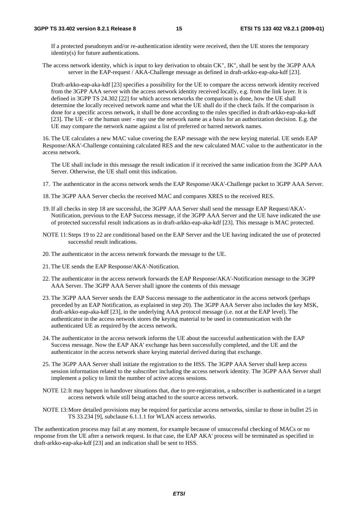If a protected pseudonym and/or re-authentication identity were received, then the UE stores the temporary identity(s) for future authentications.

The access network identity, which is input to key derivation to obtain CK", IK", shall be sent by the 3GPP AAA server in the EAP-request / AKA-Challenge message as defined in draft-arkko-eap-aka-kdf [23].

Draft-arkko-eap-aka-kdf [23] specifies a possibility for the UE to compare the access network identity received from the 3GPP AAA server with the access network identity received locally, e.g. from the link layer. It is defined in 3GPP TS 24.302 [22] for which access networks the comparison is done, how the UE shall determine the locally received network name and what the UE shall do if the check fails. If the comparison is done for a specific access network, it shall be done according to the rules specified in draft-arkko-eap-aka-kdf [23]. The UE - or the human user - may use the network name as a basis for an authorization decision. E.g. the UE may compare the network name against a list of preferred or barred network names.

16. The UE calculates a new MAC value covering the EAP message with the new keying material. UE sends EAP Response/AKA'-Challenge containing calculated RES and the new calculated MAC value to the authenticator in the access network.

 The UE shall include in this message the result indication if it received the same indication from the 3GPP AAA Server. Otherwise, the UE shall omit this indication.

- 17. The authenticator in the access network sends the EAP Response/AKA'-Challenge packet to 3GPP AAA Server.
- 18. The 3GPP AAA Server checks the received MAC and compares XRES to the received RES.
- 19. If all checks in step 18 are successful, the 3GPP AAA Server shall send the message EAP Request/AKA'- Notification, previous to the EAP Success message, if the 3GPP AAA Server and the UE have indicated the use of protected successful result indications as in draft-arkko-eap-aka-kdf [23]. This message is MAC protected.
- NOTE 11: Steps 19 to 22 are conditional based on the EAP Server and the UE having indicated the use of protected successful result indications.
- 20. The authenticator in the access network forwards the message to the UE.
- 21. The UE sends the EAP Response/AKA'-Notification.
- 22. The authenticator in the access network forwards the EAP Response/AKA'-Notification message to the 3GPP AAA Server. The 3GPP AAA Server shall ignore the contents of this message
- 23. The 3GPP AAA Server sends the EAP Success message to the authenticator in the access network (perhaps preceded by an EAP Notification, as explained in step 20). The 3GPP AAA Server also includes the key MSK, draft-arkko-eap-aka-kdf [23], in the underlying AAA protocol message (i.e. not at the EAP level). The authenticator in the access network stores the keying material to be used in communication with the authenticated UE as required by the access network.
- 24. The authenticator in the access network informs the UE about the successful authentication with the EAP Success message. Now the EAP AKA' exchange has been successfully completed, and the UE and the authenticator in the access network share keying material derived during that exchange.
- 25. The 3GPP AAA Server shall initiate the registration to the HSS. The 3GPP AAA Server shall keep access session information related to the subscriber including the access network identity. The 3GPP AAA Server shall implement a policy to limit the number of active access sessions.
- NOTE 12: It may happen in handover situations that, due to pre-registration, a subscriber is authenticated in a target access network while still being attached to the source access network.
- NOTE 13: More detailed provisions may be required for particular access networks, similar to those in bullet 25 in TS 33.234 [9], subclause 6.1.1.1 for WLAN access networks.

The authentication process may fail at any moment, for example because of unsuccessful checking of MACs or no response from the UE after a network request. In that case, the EAP AKA' process will be terminated as specified in draft-arkko-eap-aka-kdf [23] and an indication shall be sent to HSS.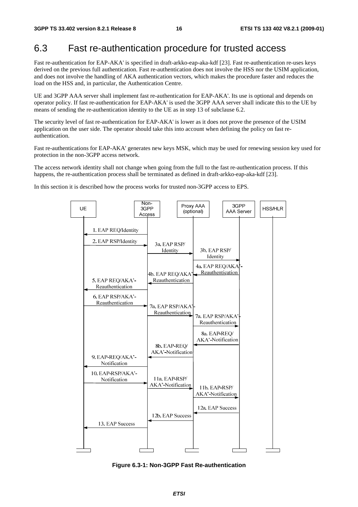## 6.3 Fast re-authentication procedure for trusted access

Fast re-authentication for EAP-AKA' is specified in draft-arkko-eap-aka-kdf [23]. Fast re-authentication re-uses keys derived on the previous full authentication. Fast re-authentication does not involve the HSS nor the USIM application, and does not involve the handling of AKA authentication vectors, which makes the procedure faster and reduces the load on the HSS and, in particular, the Authentication Centre.

UE and 3GPP AAA server shall implement fast re-authentication for EAP-AKA'. Its use is optional and depends on operator policy. If fast re-authentication for EAP-AKA' is used the 3GPP AAA server shall indicate this to the UE by means of sending the re-authentication identity to the UE as in step 13 of subclause 6.2.

The security level of fast re-authentication for EAP-AKA' is lower as it does not prove the presence of the USIM application on the user side. The operator should take this into account when defining the policy on fast reauthentication.

Fast re-authentications for EAP-AKA' generates new keys MSK, which may be used for renewing session key used for protection in the non-3GPP access network.

The access network identity shall not change when going from the full to the fast re-authentication process. If this happens, the re-authentication process shall be terminated as defined in draft-arkko-eap-aka-kdf [23].

In this section it is described how the process works for trusted non-3GPP access to EPS.



**Figure 6.3-1: Non-3GPP Fast Re-authentication**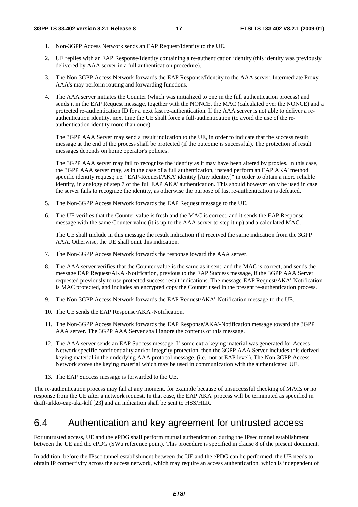- 1. Non-3GPP Access Network sends an EAP Request/Identity to the UE.
- 2. UE replies with an EAP Response/Identity containing a re-authentication identity (this identity was previously delivered by AAA server in a full authentication procedure).
- 3. The Non-3GPP Access Network forwards the EAP Response/Identity to the AAA server. Intermediate Proxy AAA's may perform routing and forwarding functions.
- 4. The AAA server initiates the Counter (which was initialized to one in the full authentication process) and sends it in the EAP Request message, together with the NONCE, the MAC (calculated over the NONCE) and a protected re-authentication ID for a next fast re-authentication. If the AAA server is not able to deliver a reauthentication identity, next time the UE shall force a full-authentication (to avoid the use of the reauthentication identity more than once).

The 3GPP AAA Server may send a result indication to the UE, in order to indicate that the success result message at the end of the process shall be protected (if the outcome is successful). The protection of result messages depends on home operator's policies.

The 3GPP AAA server may fail to recognize the identity as it may have been altered by proxies. In this case, the 3GPP AAA server may, as in the case of a full authentication, instead perform an EAP AKA' method specific identity request; i.e. "EAP-Request/AKA' identity [Any identity]" in order to obtain a more reliable identity, in analogy of step 7 of the full EAP AKA' authentication. This should however only be used in case the server fails to recognize the identity, as otherwise the purpose of fast re-authentication is defeated.

- 5. The Non-3GPP Access Network forwards the EAP Request message to the UE.
- 6. The UE verifies that the Counter value is fresh and the MAC is correct, and it sends the EAP Response message with the same Counter value (it is up to the AAA server to step it up) and a calculated MAC.

The UE shall include in this message the result indication if it received the same indication from the 3GPP AAA. Otherwise, the UE shall omit this indication.

- 7. The Non-3GPP Access Network forwards the response toward the AAA server.
- 8. The AAA server verifies that the Counter value is the same as it sent, and the MAC is correct, and sends the message EAP Request/AKA'-Notification, previous to the EAP Success message, if the 3GPP AAA Server requested previously to use protected success result indications. The message EAP Request/AKA'-Notification is MAC protected, and includes an encrypted copy the Counter used in the present re-authentication process.
- 9. The Non-3GPP Access Network forwards the EAP Request/AKA'-Notification message to the UE.
- 10. The UE sends the EAP Response/AKA'-Notification.
- 11. The Non-3GPP Access Network forwards the EAP Response/AKA'-Notification message toward the 3GPP AAA server. The 3GPP AAA Server shall ignore the contents of this message.
- 12. The AAA server sends an EAP Success message. If some extra keying material was generated for Access Network specific confidentiality and/or integrity protection, then the 3GPP AAA Server includes this derived keying material in the underlying AAA protocol message. (i.e., not at EAP level). The Non-3GPP Access Network stores the keying material which may be used in communication with the authenticated UE.
- 13. The EAP Success message is forwarded to the UE.

The re-authentication process may fail at any moment, for example because of unsuccessful checking of MACs or no response from the UE after a network request. In that case, the EAP AKA' process will be terminated as specified in draft-arkko-eap-aka-kdf [23] and an indication shall be sent to HSS/HLR.

## 6.4 Authentication and key agreement for untrusted access

For untrusted access, UE and the ePDG shall perform mutual authentication during the IPsec tunnel establishment between the UE and the ePDG (SWu reference point). This procedure is specified in clause 8 of the present document.

In addition, before the IPsec tunnel establishment between the UE and the ePDG can be performed, the UE needs to obtain IP connectivity across the access network, which may require an access authentication, which is independent of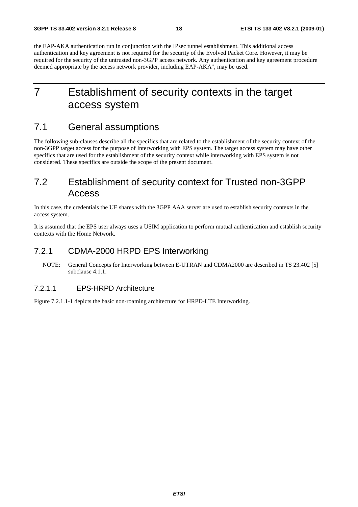the EAP-AKA authentication run in conjunction with the IPsec tunnel establishment. This additional access authentication and key agreement is not required for the security of the Evolved Packet Core. However, it may be required for the security of the untrusted non-3GPP access network. Any authentication and key agreement procedure deemed appropriate by the access network provider, including EAP-AKA", may be used.

# 7 Establishment of security contexts in the target access system

## 7.1 General assumptions

The following sub-clauses describe all the specifics that are related to the establishment of the security context of the non-3GPP target access for the purpose of Interworking with EPS system. The target access system may have other specifics that are used for the establishment of the security context while interworking with EPS system is not considered. These specifics are outside the scope of the present document.

# 7.2 Establishment of security context for Trusted non-3GPP Access

In this case, the credentials the UE shares with the 3GPP AAA server are used to establish security contexts in the access system.

It is assumed that the EPS user always uses a USIM application to perform mutual authentication and establish security contexts with the Home Network.

## 7.2.1 CDMA-2000 HRPD EPS Interworking

NOTE: General Concepts for Interworking between E-UTRAN and CDMA2000 are described in TS 23.402 [5] subclause 4.1.1.

## 7.2.1.1 EPS-HRPD Architecture

Figure 7.2.1.1-1 depicts the basic non-roaming architecture for HRPD-LTE Interworking.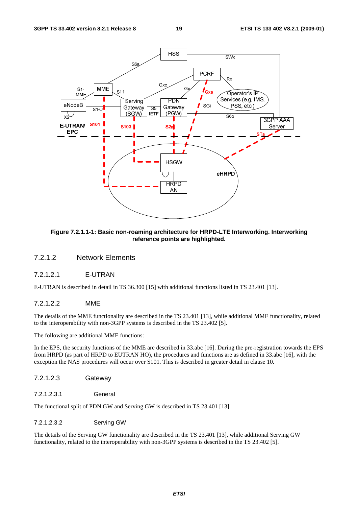

**Figure 7.2.1.1-1: Basic non-roaming architecture for HRPD-LTE Interworking. Interworking reference points are highlighted.** 

### 7.2.1.2 Network Elements

### 7.2.1.2.1 E-UTRAN

E-UTRAN is described in detail in TS 36.300 [15] with additional functions listed in TS 23.401 [13].

#### 7.2.1.2.2 MME

The details of the MME functionality are described in the TS 23.401 [13], while additional MME functionality, related to the interoperability with non-3GPP systems is described in the TS 23.402 [5].

The following are additional MME functions:

In the EPS, the security functions of the MME are described in 33.abc [16]. During the pre-registration towards the EPS from HRPD (as part of HRPD to EUTRAN HO), the procedures and functions are as defined in 33.abc [16], with the exception the NAS procedures will occur over S101. This is described in greater detail in clause 10.

- 7.2.1.2.3 Gateway
- 7.2.1.2.3.1 General

The functional split of PDN GW and Serving GW is described in TS 23.401 [13].

7.2.1.2.3.2 Serving GW

The details of the Serving GW functionality are described in the TS 23.401 [13], while additional Serving GW functionality, related to the interoperability with non-3GPP systems is described in the TS 23.402 [5].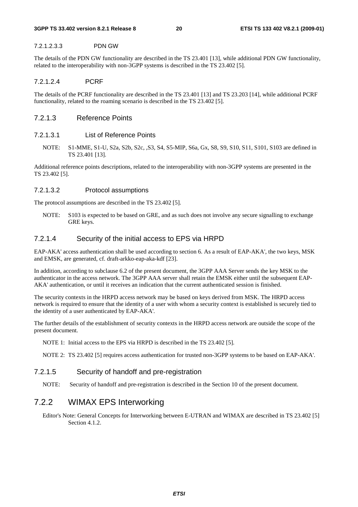#### 7.2.1.2.3.3 PDN GW

The details of the PDN GW functionality are described in the TS 23.401 [13], while additional PDN GW functionality, related to the interoperability with non-3GPP systems is described in the TS 23.402 [5].

#### 7.2.1.2.4 PCRF

The details of the PCRF functionality are described in the TS 23.401 [13] and TS 23.203 [14], while additional PCRF functionality, related to the roaming scenario is described in the TS 23.402 [5].

#### 7.2.1.3 Reference Points

### 7.2.1.3.1 List of Reference Points

NOTE: S1-MME, S1-U, S2a, S2b, S2c, ,S3, S4, S5-MIP, S6a, Gx, S8, S9, S10, S11, S101, S103 are defined in TS 23.401 [13].

Additional reference points descriptions, related to the interoperability with non-3GPP systems are presented in the TS 23.402 [5].

#### 7.2.1.3.2 Protocol assumptions

The protocol assumptions are described in the TS 23.402 [5].

NOTE: S103 is expected to be based on GRE, and as such does not involve any secure signalling to exchange GRE keys.

#### 7.2.1.4 Security of the initial access to EPS via HRPD

EAP-AKA' access authentication shall be used according to section 6. As a result of EAP-AKA', the two keys, MSK and EMSK, are generated, cf. draft-arkko-eap-aka-kdf [23].

In addition, according to subclause 6.2 of the present document, the 3GPP AAA Server sends the key MSK to the authenticator in the access network. The 3GPP AAA server shall retain the EMSK either until the subsequent EAP-AKA' authentication, or until it receives an indication that the current authenticated session is finished.

The security contexts in the HRPD access network may be based on keys derived from MSK. The HRPD access network is required to ensure that the identity of a user with whom a security context is established is securely tied to the identity of a user authenticated by EAP-AKA'.

The further details of the establishment of security contexts in the HRPD access network are outside the scope of the present document.

NOTE 1: Initial access to the EPS via HRPD is described in the TS 23.402 [5].

NOTE 2: TS 23.402 [5] requires access authentication for trusted non-3GPP systems to be based on EAP-AKA'.

### 7.2.1.5 Security of handoff and pre-registration

NOTE: Security of handoff and pre-registration is described in the Section 10 of the present document.

## 7.2.2 WIMAX EPS Interworking

Editor's Note: General Concepts for Interworking between E-UTRAN and WIMAX are described in TS 23.402 [5] Section 4.1.2.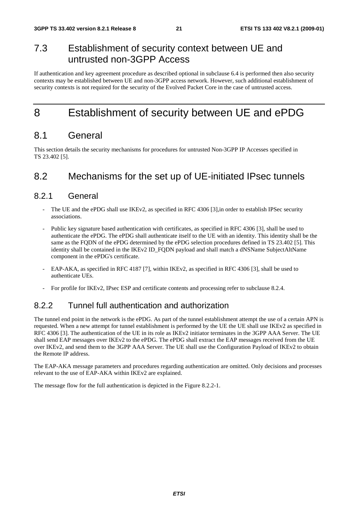# 7.3 Establishment of security context between UE and untrusted non-3GPP Access

If authentication and key agreement procedure as described optional in subclause 6.4 is performed then also security contexts may be established between UE and non-3GPP access network. However, such additional establishment of security contexts is not required for the security of the Evolved Packet Core in the case of untrusted access.

# 8 Establishment of security between UE and ePDG

## 8.1 General

This section details the security mechanisms for procedures for untrusted Non-3GPP IP Accesses specified in TS 23.402 [5].

## 8.2 Mechanisms for the set up of UE-initiated IPsec tunnels

## 8.2.1 General

- The UE and the ePDG shall use IKEv2, as specified in RFC 4306 [3], in order to establish IPSec security associations.
- Public key signature based authentication with certificates, as specified in RFC 4306 [3], shall be used to authenticate the ePDG. The ePDG shall authenticate itself to the UE with an identity. This identity shall be the same as the FQDN of the ePDG determined by the ePDG selection procedures defined in TS 23.402 [5]. This identity shall be contained in the IKEv2 ID\_FQDN payload and shall match a dNSName SubjectAltName component in the ePDG's certificate.
- EAP-AKA, as specified in RFC 4187 [7], within IKEv2, as specified in RFC 4306 [3], shall be used to authenticate UEs.
- For profile for IKEv2, IPsec ESP and certificate contents and processing refer to subclause 8.2.4.

## 8.2.2 Tunnel full authentication and authorization

The tunnel end point in the network is the ePDG. As part of the tunnel establishment attempt the use of a certain APN is requested. When a new attempt for tunnel establishment is performed by the UE the UE shall use IKEv2 as specified in RFC 4306 [3]. The authentication of the UE in its role as IKEv2 initiator terminates in the 3GPP AAA Server. The UE shall send EAP messages over IKEv2 to the ePDG. The ePDG shall extract the EAP messages received from the UE over IKEv2, and send them to the 3GPP AAA Server. The UE shall use the Configuration Payload of IKEv2 to obtain the Remote IP address.

The EAP-AKA message parameters and procedures regarding authentication are omitted. Only decisions and processes relevant to the use of EAP-AKA within IKEv2 are explained.

The message flow for the full authentication is depicted in the Figure 8.2.2-1.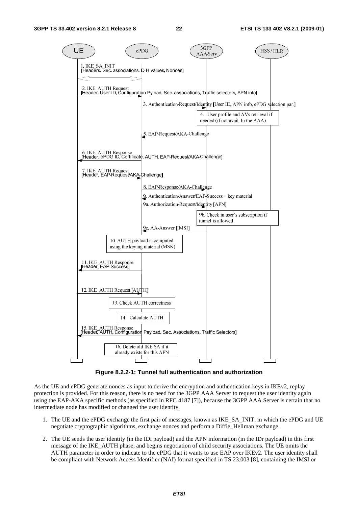

**Figure 8.2.2-1: Tunnel full authentication and authorization** 

As the UE and ePDG generate nonces as input to derive the encryption and authentication keys in IKEv2, replay protection is provided. For this reason, there is no need for the 3GPP AAA Server to request the user identity again using the EAP-AKA specific methods (as specified in RFC 4187 [7]), because the 3GPP AAA Server is certain that no intermediate node has modified or changed the user identity.

- 1. The UE and the ePDG exchange the first pair of messages, known as IKE\_SA\_INIT, in which the ePDG and UE negotiate cryptographic algorithms, exchange nonces and perform a Diffie\_Hellman exchange.
- 2. The UE sends the user identity (in the IDi payload) and the APN information (in the IDr payload) in this first message of the IKE\_AUTH phase, and begins negotiation of child security associations. The UE omits the AUTH parameter in order to indicate to the ePDG that it wants to use EAP over IKEv2. The user identity shall be compliant with Network Access Identifier (NAI) format specified in TS 23.003 [8], containing the IMSI or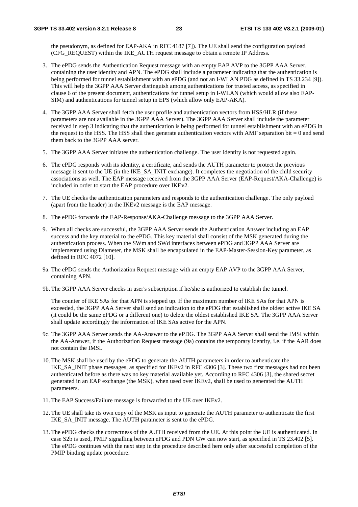the pseudonym, as defined for EAP-AKA in RFC 4187 [7]). The UE shall send the configuration payload (CFG\_REQUEST) within the IKE\_AUTH request message to obtain a remote IP Address.

- 3. The ePDG sends the Authentication Request message with an empty EAP AVP to the 3GPP AAA Server, containing the user identity and APN. The ePDG shall include a parameter indicating that the authentication is being performed for tunnel establishment with an ePDG (and not an I-WLAN PDG as defined in TS 33.234 [9]). This will help the 3GPP AAA Server distinguish among authentications for trusted access, as specified in clause 6 of the present document, authentications for tunnel setup in I-WLAN (which would allow also EAP-SIM) and authentications for tunnel setup in EPS (which allow only EAP-AKA).
- 4. The 3GPP AAA Server shall fetch the user profile and authentication vectors from HSS/HLR (if these parameters are not available in the 3GPP AAA Server). The 3GPP AAA Server shall include the parameter received in step 3 indicating that the authentication is being performed for tunnel establishment with an ePDG in the request to the HSS. The HSS shall then generate authentication vectors with AMF separation bit  $= 0$  and send them back to the 3GPP AAA server.
- 5. The 3GPP AAA Server initiates the authentication challenge. The user identity is not requested again.
- 6. The ePDG responds with its identity, a certificate, and sends the AUTH parameter to protect the previous message it sent to the UE (in the IKE\_SA\_INIT exchange). It completes the negotiation of the child security associations as well. The EAP message received from the 3GPP AAA Server (EAP-Request/AKA-Challenge) is included in order to start the EAP procedure over IKEv2.
- 7. The UE checks the authentication parameters and responds to the authentication challenge. The only payload (apart from the header) in the IKEv2 message is the EAP message.
- 8. The ePDG forwards the EAP-Response/AKA-Challenge message to the 3GPP AAA Server.
- 9. When all checks are successful, the 3GPP AAA Server sends the Authentication Answer including an EAP success and the key material to the ePDG. This key material shall consist of the MSK generated during the authentication process. When the SWm and SWd interfaces between ePDG and 3GPP AAA Server are implemented using Diameter, the MSK shall be encapsulated in the EAP-Master-Session-Key parameter, as defined in RFC 4072 [10].
- 9a. The ePDG sends the Authorization Request message with an empty EAP AVP to the 3GPP AAA Server, containing APN.
- 9b. The 3GPP AAA Server checks in user's subscription if he/she is authorized to establish the tunnel.

 The counter of IKE SAs for that APN is stepped up. If the maximum number of IKE SAs for that APN is exceeded, the 3GPP AAA Server shall send an indication to the ePDG that established the oldest active IKE SA (it could be the same ePDG or a different one) to delete the oldest established IKE SA. The 3GPP AAA Server shall update accordingly the information of IKE SAs active for the APN.

- 9c. The 3GPP AAA Server sends the AA-Answer to the ePDG. The 3GPP AAA Server shall send the IMSI within the AA-Answer, if the Authorization Request message (9a) contains the temporary identity, i.e. if the AAR does not contain the IMSI.
- 10. The MSK shall be used by the ePDG to generate the AUTH parameters in order to authenticate the IKE\_SA\_INIT phase messages, as specified for IKEv2 in RFC 4306 [3]. These two first messages had not been authenticated before as there was no key material available yet. According to RFC 4306 [3], the shared secret generated in an EAP exchange (the MSK), when used over IKEv2, shall be used to generated the AUTH parameters.
- 11. The EAP Success/Failure message is forwarded to the UE over IKEv2.
- 12. The UE shall take its own copy of the MSK as input to generate the AUTH parameter to authenticate the first IKE\_SA\_INIT message. The AUTH parameter is sent to the ePDG.
- 13. The ePDG checks the correctness of the AUTH received from the UE. At this point the UE is authenticated. In case S2b is used, PMIP signalling between ePDG and PDN GW can now start, as specified in TS 23.402 [5]. The ePDG continues with the next step in the procedure described here only after successful completion of the PMIP binding update procedure.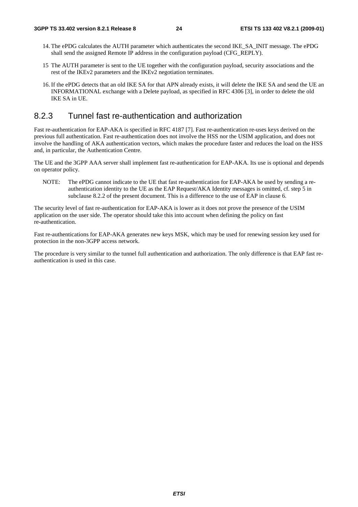- 14. The ePDG calculates the AUTH parameter which authenticates the second IKE\_SA\_INIT message. The ePDG shall send the assigned Remote IP address in the configuration payload (CFG\_REPLY).
- 15 The AUTH parameter is sent to the UE together with the configuration payload, security associations and the rest of the IKEv2 parameters and the IKEv2 negotiation terminates.
- 16. If the ePDG detects that an old IKE SA for that APN already exists, it will delete the IKE SA and send the UE an INFORMATIONAL exchange with a Delete payload, as specified in RFC 4306 [3], in order to delete the old IKE SA in UE.

## 8.2.3 Tunnel fast re-authentication and authorization

Fast re-authentication for EAP-AKA is specified in RFC 4187 [7]. Fast re-authentication re-uses keys derived on the previous full authentication. Fast re-authentication does not involve the HSS nor the USIM application, and does not involve the handling of AKA authentication vectors, which makes the procedure faster and reduces the load on the HSS and, in particular, the Authentication Centre.

The UE and the 3GPP AAA server shall implement fast re-authentication for EAP-AKA. Its use is optional and depends on operator policy.

NOTE: The ePDG cannot indicate to the UE that fast re-authentication for EAP-AKA be used by sending a reauthentication identity to the UE as the EAP Request/AKA Identity messages is omitted, cf. step 5 in subclause 8.2.2 of the present document. This is a difference to the use of EAP in clause 6.

The security level of fast re-authentication for EAP-AKA is lower as it does not prove the presence of the USIM application on the user side. The operator should take this into account when defining the policy on fast re-authentication.

Fast re-authentications for EAP-AKA generates new keys MSK, which may be used for renewing session key used for protection in the non-3GPP access network.

The procedure is very similar to the tunnel full authentication and authorization. The only difference is that EAP fast reauthentication is used in this case.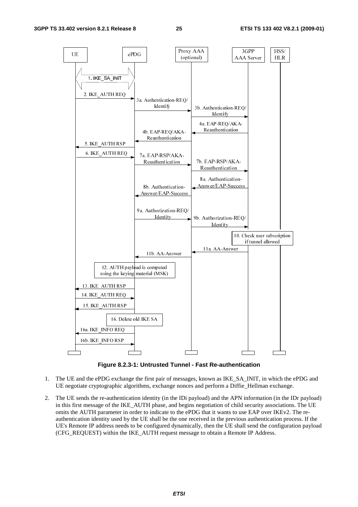

**Figure 8.2.3-1: Untrusted Tunnel - Fast Re-authentication** 

- 1. The UE and the ePDG exchange the first pair of messages, known as IKE\_SA\_INIT, in which the ePDG and UE negotiate cryptographic algorithms, exchange nonces and perform a Diffie\_Hellman exchange.
- 2. The UE sends the re-authentication identity (in the IDi payload) and the APN information (in the IDr payload) in this first message of the IKE\_AUTH phase, and begins negotiation of child security associations. The UE omits the AUTH parameter in order to indicate to the ePDG that it wants to use EAP over IKEv2. The reauthentication identity used by the UE shall be the one received in the previous authentication process. If the UE's Remote IP address needs to be configured dynamically, then the UE shall send the configuration payload (CFG\_REQUEST) within the IKE\_AUTH request message to obtain a Remote IP Address.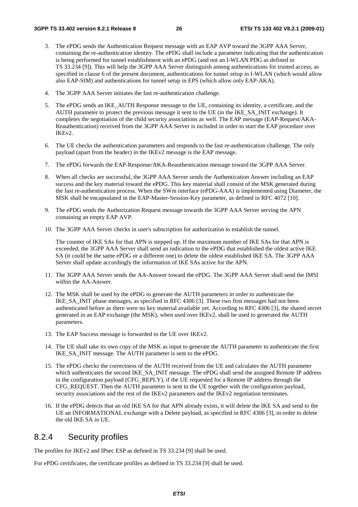- 3. The ePDG sends the Authentication Request message with an EAP AVP toward the 3GPP AAA Server, containing the re-authentication identity. The ePDG shall include a parameter indicating that the authentication is being performed for tunnel establishment with an ePDG (and not an I-WLAN PDG as defined in TS 33.234 [9]). This will help the 3GPP AAA Server distinguish among authentications for trusted access, as specified in clause 6 of the present document, authentications for tunnel setup in I-WLAN (which would allow also EAP-SIM) and authentications for tunnel setup in EPS (which allow only EAP-AKA).
- 4. The 3GPP AAA Server initiates the fast re-authentication challenge.
- 5. The ePDG sends an IKE\_AUTH Response message to the UE, containing its identity, a certificate, and the AUTH parameter to protect the previous message it sent to the UE (in the IKE\_SA\_INIT exchange). It completes the negotiation of the child security associations as well. The EAP message (EAP-Request/AKA-Reauthentication) received from the 3GPP AAA Server is included in order to start the EAP procedure over IKEv2.
- 6. The UE checks the authentication parameters and responds to the fast re-authentication challenge. The only payload (apart from the header) in the IKEv2 message is the EAP message.
- 7. The ePDG forwards the EAP-Response/AKA-Reauthentication message toward the 3GPP AAA Server.
- 8. When all checks are successful, the 3GPP AAA Server sends the Authentication Answer including an EAP success and the key material toward the ePDG. This key material shall consist of the MSK generated during the fast re-authentication process. When the SWm interface (ePDG-AAA) is implemented using Diameter, the MSK shall be encapsulated in the EAP-Master-Session-Key parameter, as defined in RFC 4072 [10].
- 9. The ePDG sends the Authorization Request message towards the 3GPP AAA Server serving the APN containing an empty EAP AVP.
- 10. The 3GPP AAA Server checks in user's subscription for authorization to establish the tunnel.

The counter of IKE SAs for that APN is stepped up. If the maximum number of IKE SAs for that APN is exceeded, the 3GPP AAA Server shall send an indication to the ePDG that established the oldest active IKE SA (it could be the same ePDG or a different one) to delete the oldest established IKE SA. The 3GPP AAA Server shall update accordingly the information of IKE SAs active for the APN.

- 11. The 3GPP AAA Server sends the AA-Answer toward the ePDG. The 3GPP AAA Server shall send the IMSI within the AA-Answer.
- 12. The MSK shall be used by the ePDG to generate the AUTH parameters in order to authenticate the IKE\_SA\_INIT phase messages, as specified in RFC 4306 [3]. These two first messages had not been authenticated before as there were no key material available yet. According to RFC 4306 [3], the shared secret generated in an EAP exchange (the MSK), when used over IKEv2, shall be used to generated the AUTH parameters.
- 13. The EAP Success message is forwarded to the UE over IKEv2.
- 14. The UE shall take its own copy of the MSK as input to generate the AUTH parameter to authenticate the first IKE\_SA\_INIT message. The AUTH parameter is sent to the ePDG.
- 15. The ePDG checks the correctness of the AUTH received from the UE and calculates the AUTH parameter which authenticates the second IKE\_SA\_INIT message. The ePDG shall send the assigned Remote IP address in the configuration payload (CFG\_REPLY), if the UE requested for a Remote IP address through the CFG\_REQUEST. Then the AUTH parameter is sent to the UE together with the configuration payload, security associations and the rest of the IKEv2 parameters and the IKEv2 negotiation terminates.
- 16. If the ePDG detects that an old IKE SA for that APN already exists, it will delete the IKE SA and send to the UE an INFORMATIONAL exchange with a Delete payload, as specified in RFC 4306 [3], in order to delete the old IKE SA in UE.

## 8.2.4 Security profiles

The profiles for IKEv2 and IPsec ESP as defined in TS 33.234 [9] shall be used.

For ePDG certificates, the certificate profiles as defined in TS 33.234 [9] shall be used.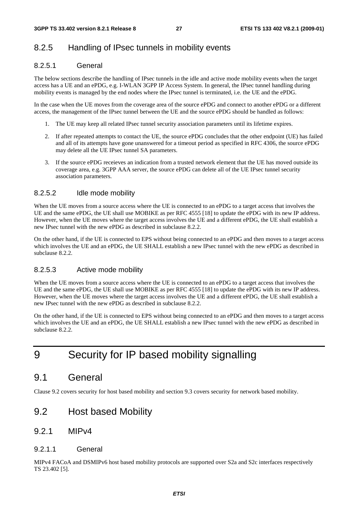## 8.2.5 Handling of IPsec tunnels in mobility events

### 8.2.5.1 General

The below sections describe the handling of IPsec tunnels in the idle and active mode mobility events when the target access has a UE and an ePDG, e.g. I-WLAN 3GPP IP Access System. In general, the IPsec tunnel handling during mobility events is managed by the end nodes where the IPsec tunnel is terminated, i.e. the UE and the ePDG.

In the case when the UE moves from the coverage area of the source ePDG and connect to another ePDG or a different access, the management of the IPsec tunnel between the UE and the source ePDG should be handled as follows:

- 1. The UE may keep all related IPsec tunnel security association parameters until its lifetime expires.
- 2. If after repeated attempts to contact the UE, the source ePDG concludes that the other endpoint (UE) has failed and all of its attempts have gone unanswered for a timeout period as specified in RFC 4306, the source ePDG may delete all the UE IPsec tunnel SA parameters.
- 3. If the source ePDG receieves an indication from a trusted network element that the UE has moved outside its coverage area, e.g. 3GPP AAA server, the source ePDG can delete all of the UE IPsec tunnel security association parameters.

### 8.2.5.2 Idle mode mobility

When the UE moves from a source access where the UE is connected to an ePDG to a target access that involves the UE and the same ePDG, the UE shall use MOBIKE as per RFC 4555 [18] to update the ePDG with its new IP address. However, when the UE moves where the target access involves the UE and a different ePDG, the UE shall establish a new IPsec tunnel with the new ePDG as described in subclause 8.2.2.

On the other hand, if the UE is connected to EPS without being connected to an ePDG and then moves to a target access which involves the UE and an ePDG, the UE SHALL establish a new IPsec tunnel with the new ePDG as described in subclause 8.2.2.

### 8.2.5.3 Active mode mobility

When the UE moves from a source access where the UE is connected to an ePDG to a target access that involves the UE and the same ePDG, the UE shall use MOBIKE as per RFC 4555 [18] to update the ePDG with its new IP address. However, when the UE moves where the target access involves the UE and a different ePDG, the UE shall establish a new IPsec tunnel with the new ePDG as described in subclause 8.2.2.

On the other hand, if the UE is connected to EPS without being connected to an ePDG and then moves to a target access which involves the UE and an ePDG, the UE SHALL establish a new IPsec tunnel with the new ePDG as described in subclause 8.2.2.

# 9 Security for IP based mobility signalling

## 9.1 General

Clause 9.2 covers security for host based mobility and section 9.3 covers security for network based mobility.

## 9.2 Host based Mobility

### 9.2.1 MIPv4

### 9.2.1.1 General

MIPv4 FACoA and DSMIPv6 host based mobility protocols are supported over S2a and S2c interfaces respectively TS 23.402 [5].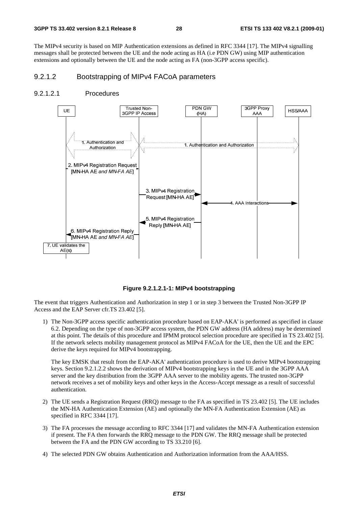The MIPv4 security is based on MIP Authentication extensions as defined in RFC 3344 [17]. The MIPv4 signalling messages shall be protected between the UE and the node acting as HA (i.e PDN GW) using MIP authentication extensions and optionally between the UE and the node acting as FA (non-3GPP access specific).

## 9.2.1.2 Bootstrapping of MIPv4 FACoA parameters

#### 9.2.1.2.1 Procedures



**Figure 9.2.1.2.1-1: MIPv4 bootstrapping** 

The event that triggers Authentication and Authorization in step 1 or in step 3 between the Trusted Non-3GPP IP Access and the EAP Server cfr.TS 23.402 [5].

1) The Non-3GPP access specific authentication procedure based on EAP-AKA' is performed as specified in clause 6.2. Depending on the type of non-3GPP access system, the PDN GW address (HA address) may be determined at this point. The details of this procedure and IPMM protocol selection procedure are specified in TS 23.402 [5]. If the network selects mobility management protocol as MIPv4 FACoA for the UE, then the UE and the EPC derive the keys required for MIPv4 bootstrapping.

The key EMSK that result from the EAP-AKA' authentication procedure is used to derive MIPv4 bootstrapping keys. Section 9.2.1.2.2 shows the derivation of MIPv4 bootstrapping keys in the UE and in the 3GPP AAA server and the key distribution from the 3GPP AAA server to the mobility agents. The trusted non-3GPP network receives a set of mobility keys and other keys in the Access-Accept message as a result of successful authentication.

- 2) The UE sends a Registration Request (RRQ) message to the FA as specified in TS 23.402 [5]. The UE includes the MN-HA Authentication Extension (AE) and optionally the MN-FA Authentication Extension (AE) as specified in RFC 3344 [17].
- 3) The FA processes the message according to RFC 3344 [17] and validates the MN-FA Authentication extension if present. The FA then forwards the RRQ message to the PDN GW. The RRQ message shall be protected between the FA and the PDN GW according to TS 33.210 [6].
- 4) The selected PDN GW obtains Authentication and Authorization information from the AAA/HSS.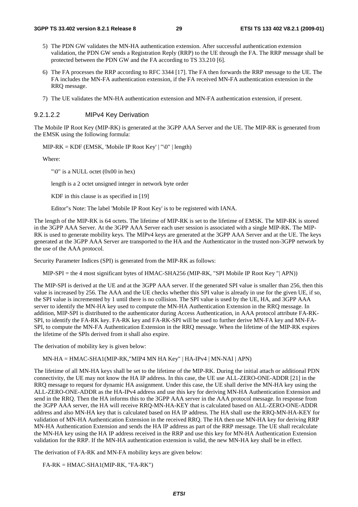- 5) The PDN GW validates the MN-HA authentication extension. After successful authentication extension validation, the PDN GW sends a Registration Reply (RRP) to the UE through the FA. The RRP message shall be protected between the PDN GW and the FA according to TS 33.210 [6].
- 6) The FA processes the RRP according to RFC 3344 [17]. The FA then forwards the RRP message to the UE. The FA includes the MN-FA authentication extension, if the FA received MN-FA authentication extension in the RRQ message.
- 7) The UE validates the MN-HA authentication extension and MN-FA authentication extension, if present.

#### 9.2.1.2.2 MIPv4 Key Derivation

The Mobile IP Root Key (MIP-RK) is generated at the 3GPP AAA Server and the UE. The MIP-RK is generated from the EMSK using the following formula:

 $MIP-RK = KDF$  (EMSK, 'Mobile IP Root Key' | "\0" | length)

Where:

"\0" is a NULL octet (0x00 in hex)

length is a 2 octet unsigned integer in network byte order

KDF in this clause is as specified in [19]

Editor"s Note: The label 'Mobile IP Root Key' is to be registered with IANA.

The length of the MIP-RK is 64 octets. The lifetime of MIP-RK is set to the lifetime of EMSK. The MIP-RK is stored in the 3GPP AAA Server. At the 3GPP AAA Server each user session is associated with a single MIP-RK. The MIP-RK is used to generate mobility keys. The MIPv4 keys are generated at the 3GPP AAA Server and at the UE. The keys generated at the 3GPP AAA Server are transported to the HA and the Authenticator in the trusted non-3GPP network by the use of the AAA protocol.

Security Parameter Indices (SPI) is generated from the MIP-RK as follows:

MIP-SPI = the 4 most significant bytes of HMAC-SHA256 (MIP-RK, "SPI Mobile IP Root Key "| APN))

The MIP-SPI is derived at the UE and at the 3GPP AAA server. If the generated SPI value is smaller than 256, then this value is increased by 256. The AAA and the UE checks whether this SPI value is already in use for the given UE, if so, the SPI value is incremented by 1 until there is no collision. The SPI value is used by the UE, HA, and 3GPP AAA server to identify the MN-HA key used to compute the MN-HA Authentication Extension in the RRQ message. In addition, MIP-SPI is distributed to the authenticator during Access Authentication, in AAA protocol attribute FA-RK-SPI, to identify the FA-RK key. FA-RK key and FA-RK-SPI will be used to further derive MN-FA key and MN-FA-SPI, to compute the MN-FA Authentication Extension in the RRQ message. When the lifetime of the MIP-RK expires the lifetime of the SPIs derived from it shall also expire.

The derivation of mobility key is given below:

MN-HA = HMAC-SHA1(MIP-RK,"MIP4 MN HA Key" | HA-IPv4 | MN-NAI | APN)

The lifetime of all MN-HA keys shall be set to the lifetime of the MIP-RK. During the initial attach or additional PDN connectivity, the UE may not know the HA IP address. In this case, the UE use ALL-ZERO-ONE-ADDR [21] in the RRQ message to request for dynamic HA assignment. Under this case, the UE shall derive the MN-HA key using the ALL-ZERO-ONE-ADDR as the HA-IPv4 address and use this key for deriving MN-HA Authentication Extension and send in the RRQ. Then the HA informs this to the 3GPP AAA server in the AAA protocol message. In response from the 3GPP AAA server, the HA will receive RRQ-MN-HA-KEY that is calculated based on ALL-ZERO-ONE-ADDR address and also MN-HA key that is calculated based on HA IP address. The HA shall use the RRQ-MN-HA-KEY for validation of MN-HA Authentication Extension in the received RRQ. The HA then use MN-HA key for deriving RRP MN-HA Authentication Extension and sends the HA IP address as part of the RRP message. The UE shall recalculate the MN-HA key using the HA IP address received in the RRP and use this key for MN-HA Authentication Extension validation for the RRP. If the MN-HA authentication extension is valid, the new MN-HA key shall be in effect.

The derivation of FA-RK and MN-FA mobility keys are given below:

FA-RK = HMAC-SHA1(MIP-RK, "FA-RK")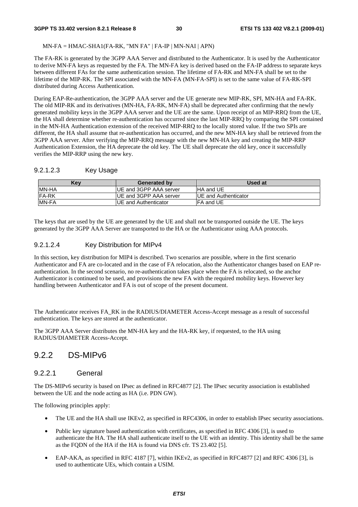#### MN-FA = HMAC-SHA1(FA-RK, "MN FA" | FA-IP | MN-NAI | APN)

The FA-RK is generated by the 3GPP AAA Server and distributed to the Authenticator. It is used by the Authenticator to derive MN-FA keys as requested by the FA. The MN-FA key is derived based on the FA-IP address to separate keys between different FAs for the same authentication session. The lifetime of FA-RK and MN-FA shall be set to the lifetime of the MIP-RK. The SPI associated with the MN-FA (MN-FA-SPI) is set to the same value of FA-RK-SPI distributed during Access Authentication.

During EAP-Re-authentication, the 3GPP AAA server and the UE generate new MIP-RK, SPI, MN-HA and FA-RK. The old MIP-RK and its derivatives (MN-HA, FA-RK, MN-FA) shall be deprecated after confirming that the newly generated mobility keys in the 3GPP AAA server and the UE are the same. Upon receipt of an MIP-RRQ from the UE, the HA shall determine whether re-authentication has occurred since the last MIP-RRQ by comparing the SPI contained in the MN-HA Authentication extension of the received MIP-RRQ to the locally stored value. If the two SPIs are different, the HA shall assume that re-authentication has occurred, and the new MN-HA key shall be retrieved from the 3GPP AAA server. After verifying the MIP-RRQ message with the new MN-HA key and creating the MIP-RRP Authentication Extension, the HA deprecate the old key. The UE shall deprecate the old key, once it successfully verifies the MIP-RRP using the new key.

### 9.2.1.2.3 Key Usage

| Kev           | <b>Generated by</b>            | Used at                      |
|---------------|--------------------------------|------------------------------|
| <b>IMN-HA</b> | <b>IUE and 3GPP AAA server</b> | <b>IHA and UE</b>            |
| <b>IFA-RK</b> | <b>IUE and 3GPP AAA server</b> | <b>IUE and Authenticator</b> |
| <b>MN-FA</b>  | IUE and Authenticator          | IFA and UE                   |

The keys that are used by the UE are generated by the UE and shall not be transported outside the UE. The keys generated by the 3GPP AAA Server are transported to the HA or the Authenticator using AAA protocols.

## 9.2.1.2.4 Key Distribution for MIPv4

In this section, key distribution for MIP4 is described. Two scenarios are possible, where in the first scenario Authenticator and FA are co-located and in the case of FA relocation, also the Authenticator changes based on EAP reauthentication. In the second scenario, no re-authentication takes place when the FA is relocated, so the anchor Authenticator is continued to be used, and provisions the new FA with the required mobility keys. However key handling between Authenticator and FA is out of scope of the present document.

The Authenticator receives FA\_RK in the RADIUS/DIAMETER Access-Accept message as a result of successful authentication. The keys are stored at the authenticator.

The 3GPP AAA Server distributes the MN-HA key and the HA-RK key, if requested, to the HA using RADIUS/DIAMETER Access-Accept.

## 9.2.2 DS-MIPv6

## 9.2.2.1 General

The DS-MIPv6 security is based on IPsec as defined in RFC4877 [2]. The IPsec security association is established between the UE and the node acting as HA (i.e. PDN GW).

The following principles apply:

- The UE and the HA shall use IKEv2, as specified in RFC4306, in order to establish IPsec security associations.
- Public key signature based authentication with certificates, as specified in RFC 4306 [3], is used to authenticate the HA. The HA shall authenticate itself to the UE with an identity. This identity shall be the same as the FQDN of the HA if the HA is found via DNS cfr. TS 23.402 [5].
- EAP-AKA, as specified in RFC 4187 [7], within IKEv2, as specified in RFC4877 [2] and RFC 4306 [3], is used to authenticate UEs, which contain a USIM.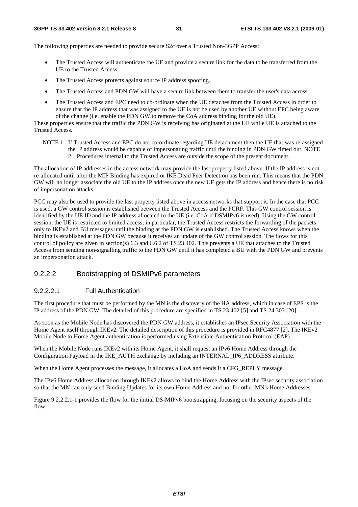The following properties are needed to provide secure S2c over a Trusted Non-3GPP Access:

- The Trusted Access will authenticate the UE and provide a secure link for the data to be transferred from the UE to the Trusted Access.
- The Trusted Access protects against source IP address spoofing.
- The Trusted Access and PDN GW will have a secure link between them to transfer the user's data across.
- The Trusted Access and EPC need to co-ordinate when the UE detaches from the Trusted Access in order to ensure that the IP address that was assigned to the UE is not be used by another UE without EPC being aware of the change (i.e. enable the PDN GW to remove the CoA address binding for the old UE).

These properties ensure that the traffic the PDN GW is receiving has originated at the UE while UE is attached to the Trusted Access.

- NOTE 1: If Trusted Access and EPC do not co-ordinate regarding UE detachment then the UE that was re-assigned the IP address would be capable of impersonating traffic until the binding in PDN GW timed out. NOTE
	- 2: Procedures internal to the Trusted Access are outside the scope of the present document.

The allocation of IP addresses in the access network may provide the last property listed above. If the IP address is not re-allocated until after the MIP Binding has expired or IKE Dead Peer Detection has been run. This means that the PDN GW will no longer associate the old UE to the IP address once the new UE gets the IP address and hence there is no risk of impersonation attacks.

PCC may also be used to provide the last property listed above in access networks that support it. In the case that PCC is used, a GW control session is established between the Trusted Access and the PCRF. This GW control session is identified by the UE ID and the IP address allocated to the UE (i.e. CoA if DSMIPv6 is used). Using the GW control session, the UE is restricted to limited access; in particular, the Trusted Access restricts the forwarding of the packets only to IKEv2 and BU messages until the binding at the PDN GW is established. The Trusted Access knows when the binding is established at the PDN GW because it receives an update of the GW control session. The flows for this control of policy are given in section(s) 6.3 and 6.6.2 of TS 23.402. This prevents a UE that attaches to the Trusted Access from sending non-signalling traffic to the PDN GW until it has completed a BU with the PDN GW and prevents an impersonation attack.

### 9.2.2.2 Bootstrapping of DSMIPv6 parameters

#### 9.2.2.2.1 Full Authentication

The first procedure that must be performed by the MN is the discovery of the HA address, which in case of EPS is the IP address of the PDN GW. The detailed of this procedure are specified in TS 23.402 [5] and TS 24.303 [20].

As soon as the Mobile Node has discovered the PDN GW address, it establishes an IPsec Security Association with the Home Agent itself through IKEv2. The detailed description of this procedure is provided in RFC4877 [2]. The IKEv2 Mobile Node to Home Agent authentication is performed using Extensible Authentication Protocol (EAP).

When the Mobile Node runs IKEv2 with its Home Agent, it shall request an IPv6 Home Address through the Configuration Payload in the IKE\_AUTH exchange by including an INTERNAL\_IP6\_ADDRESS attribute.

When the Home Agent processes the message, it allocates a HoA and sends it a CFG\_REPLY message.

The IPv6 Home Address allocation through IKEv2 allows to bind the Home Address with the IPsec security association so that the MN can only send Binding Updates for its own Home Address and not for other MN's Home Addresses.

Figure 9.2.2.2.1-1 provides the flow for the initial DS-MIPv6 bootstrapping, focusing on the security aspects of the flow.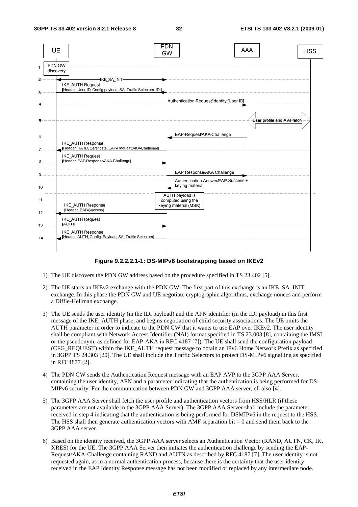

#### **Figure 9.2.2.2.1-1: DS-MIPv6 bootstrapping based on IKEv2**

- 1) The UE discovers the PDN GW address based on the procedure specified in TS 23.402 [5].
- 2) The UE starts an IKEv2 exchange with the PDN GW. The first part of this exchange is an IKE\_SA\_INIT exchange. In this phase the PDN GW and UE negotiate cryptographic algorithms, exchange nonces and perform a Diffie-Hellman exchange.
- 3) The UE sends the user identity (in the IDi payload) and the APN identifier (in the IDr payload) in this first message of the IKE\_AUTH phase, and begins negotiation of child security associations. The UE omits the AUTH parameter in order to indicate to the PDN GW that it wants to use EAP over IKEv2. The user identity shall be compliant with Network Access Identifier (NAI) format specified in TS 23.003 [8], containing the IMSI or the pseudonym, as defined for EAP-AKA in RFC 4187 [7]). The UE shall send the configuration payload (CFG\_REQUEST) within the IKE\_AUTH request message to obtain an IPv6 Home Network Prefix as specified in 3GPP TS 24.303 [20]. The UE shall include the Traffic Selectors to protect DS-MIPv6 signalling as specified in RFC4877 [2].
- 4) The PDN GW sends the Authentication Request message with an EAP AVP to the 3GPP AAA Server, containing the user identity, APN and a parameter indicating that the authentication is being performed for DS-MIPv6 security. For the communication between PDN GW and 3GPP AAA server, cf. also [4].
- 5) The 3GPP AAA Server shall fetch the user profile and authentication vectors from HSS/HLR (if these parameters are not available in the 3GPP AAA Server). The 3GPP AAA Server shall include the parameter received in step 4 indicating that the authentication is being performed for DSMIPv6 in the request to the HSS. The HSS shall then generate authentication vectors with AMF separation bit  $= 0$  and send them back to the 3GPP AAA server.
- 6) Based on the identity received, the 3GPP AAA server selects an Authentication Vector (RAND, AUTN, CK, IK, XRES) for the UE. The 3GPP AAA Server then initiates the authentication challenge by sending the EAP-Request/AKA-Challenge containing RAND and AUTN as described by RFC 4187 [7]. The user identity is not requested again, as in a normal authentication process, because there is the certainty that the user identity received in the EAP Identity Response message has not been modified or replaced by any intermediate node.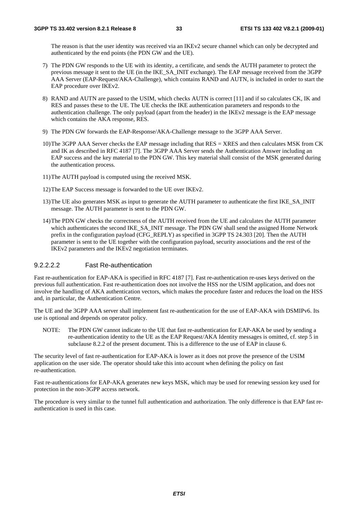The reason is that the user identity was received via an IKEv2 secure channel which can only be decrypted and authenticated by the end points (the PDN GW and the UE).

- 7) The PDN GW responds to the UE with its identity, a certificate, and sends the AUTH parameter to protect the previous message it sent to the UE (in the IKE\_SA\_INIT exchange). The EAP message received from the 3GPP AAA Server (EAP-Request/AKA-Challenge), which contains RAND and AUTN, is included in order to start the EAP procedure over IKEv2.
- 8) RAND and AUTN are passed to the USIM, which checks AUTN is correct [11] and if so calculates CK, IK and RES and passes these to the UE. The UE checks the IKE authentication parameters and responds to the authentication challenge. The only payload (apart from the header) in the IKEv2 message is the EAP message which contains the AKA response, RES.
- 9) The PDN GW forwards the EAP-Response/AKA-Challenge message to the 3GPP AAA Server.
- 10) The 3GPP AAA Server checks the EAP message including that RES = XRES and then calculates MSK from CK and IK as described in RFC 4187 [7]. The 3GPP AAA Server sends the Authentication Answer including an EAP success and the key material to the PDN GW. This key material shall consist of the MSK generated during the authentication process.
- 11) The AUTH payload is computed using the received MSK.
- 12) The EAP Success message is forwarded to the UE over IKEv2.
- 13) The UE also generates MSK as input to generate the AUTH parameter to authenticate the first IKE\_SA\_INIT message. The AUTH parameter is sent to the PDN GW.
- 14) The PDN GW checks the correctness of the AUTH received from the UE and calculates the AUTH parameter which authenticates the second IKE\_SA\_INIT message. The PDN GW shall send the assigned Home Network prefix in the configuration payload (CFG\_REPLY) as specified in 3GPP TS 24.303 [20]. Then the AUTH parameter is sent to the UE together with the configuration payload, security associations and the rest of the IKEv2 parameters and the IKEv2 negotiation terminates.

#### 9.2.2.2.2 Fast Re-authentication

Fast re-authentication for EAP-AKA is specified in RFC 4187 [7]. Fast re-authentication re-uses keys derived on the previous full authentication. Fast re-authentication does not involve the HSS nor the USIM application, and does not involve the handling of AKA authentication vectors, which makes the procedure faster and reduces the load on the HSS and, in particular, the Authentication Centre.

The UE and the 3GPP AAA server shall implement fast re-authentication for the use of EAP-AKA with DSMIPv6. Its use is optional and depends on operator policy.

NOTE: The PDN GW cannot indicate to the UE that fast re-authentication for EAP-AKA be used by sending a re-authentication identity to the UE as the EAP Request/AKA Identity messages is omitted, cf. step 5 in subclause 8.2.2 of the present document. This is a difference to the use of EAP in clause 6.

The security level of fast re-authentication for EAP-AKA is lower as it does not prove the presence of the USIM application on the user side. The operator should take this into account when defining the policy on fast re-authentication.

Fast re-authentications for EAP-AKA generates new keys MSK, which may be used for renewing session key used for protection in the non-3GPP access network.

The procedure is very similar to the tunnel full authentication and authorization. The only difference is that EAP fast reauthentication is used in this case.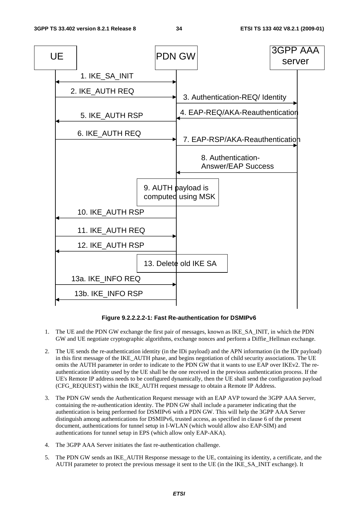

**Figure 9.2.2.2.2-1: Fast Re-authentication for DSMIPv6** 

- 1. The UE and the PDN GW exchange the first pair of messages, known as IKE\_SA\_INIT, in which the PDN GW and UE negotiate cryptographic algorithms, exchange nonces and perform a Diffie\_Hellman exchange.
- 2. The UE sends the re-authentication identity (in the IDi payload) and the APN information (in the IDr payload) in this first message of the IKE\_AUTH phase, and begins negotiation of child security associations. The UE omits the AUTH parameter in order to indicate to the PDN GW that it wants to use EAP over IKEv2. The reauthentication identity used by the UE shall be the one received in the previous authentication process. If the UE's Remote IP address needs to be configured dynamically, then the UE shall send the configuration payload (CFG\_REQUEST) within the IKE\_AUTH request message to obtain a Remote IP Address.
- 3. The PDN GW sends the Authentication Request message with an EAP AVP toward the 3GPP AAA Server, containing the re-authentication identity. The PDN GW shall include a parameter indicating that the authentication is being performed for DSMIPv6 with a PDN GW. This will help the 3GPP AAA Server distinguish among authentications for DSMIPv6, trusted access, as specified in clause 6 of the present document, authentications for tunnel setup in I-WLAN (which would allow also EAP-SIM) and authentications for tunnel setup in EPS (which allow only EAP-AKA).
- 4. The 3GPP AAA Server initiates the fast re-authentication challenge.
- 5. The PDN GW sends an IKE\_AUTH Response message to the UE, containing its identity, a certificate, and the AUTH parameter to protect the previous message it sent to the UE (in the IKE\_SA\_INIT exchange). It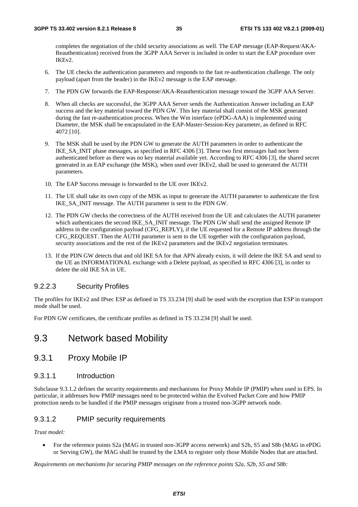completes the negotiation of the child security associations as well. The EAP message (EAP-Request/AKA-Reauthentication) received from the 3GPP AAA Server is included in order to start the EAP procedure over IKEv2.

- 6. The UE checks the authentication parameters and responds to the fast re-authentication challenge. The only payload (apart from the header) in the IKEv2 message is the EAP message.
- 7. The PDN GW forwards the EAP-Response/AKA-Reauthentication message toward the 3GPP AAA Server.
- 8. When all checks are successful, the 3GPP AAA Server sends the Authentication Answer including an EAP success and the key material toward the PDN GW. This key material shall consist of the MSK generated during the fast re-authentication process. When the Wm interface (ePDG-AAA) is implemented using Diameter, the MSK shall be encapsulated in the EAP-Master-Session-Key parameter, as defined in RFC 4072 [10].
- 9. The MSK shall be used by the PDN GW to generate the AUTH parameters in order to authenticate the IKE\_SA\_INIT phase messages, as specified in RFC 4306 [3]. These two first messages had not been authenticated before as there was no key material available yet. According to RFC 4306 [3], the shared secret generated in an EAP exchange (the MSK), when used over IKEv2, shall be used to generated the AUTH parameters.
- 10. The EAP Success message is forwarded to the UE over IKEv2.
- 11. The UE shall take its own copy of the MSK as input to generate the AUTH parameter to authenticate the first IKE\_SA\_INIT message. The AUTH parameter is sent to the PDN GW.
- 12. The PDN GW checks the correctness of the AUTH received from the UE and calculates the AUTH parameter which authenticates the second IKE\_SA\_INIT message. The PDN GW shall send the assigned Remote IP address in the configuration payload (CFG\_REPLY), if the UE requested for a Remote IP address through the CFG\_REQUEST. Then the AUTH parameter is sent to the UE together with the configuration payload, security associations and the rest of the IKEv2 parameters and the IKEv2 negotiation terminates.
- 13. If the PDN GW detects that and old IKE SA for that APN already exists, it will delete the IKE SA and send to the UE an INFORMATIONAL exchange with a Delete payload, as specified in RFC 4306 [3], in order to delete the old IKE SA in UE.

#### 9.2.2.3 Security Profiles

The profiles for IKEv2 and IPsec ESP as defined in TS 33.234 [9] shall be used with the exception that ESP in transport mode shall be used.

For PDN GW certificates, the certificate profiles as defined in TS 33.234 [9] shall be used.

## 9.3 Network based Mobility

## 9.3.1 Proxy Mobile IP

#### 9.3.1.1 Introduction

Subclause 9.3.1.2 defines the security requirements and mechanisms for Proxy Mobile IP (PMIP) when used in EPS. In particular, it addresses how PMIP messages need to be protected within the Evolved Packet Core and how PMIP protection needs to be handled if the PMIP messages originate from a trusted non-3GPP network node.

### 9.3.1.2 PMIP security requirements

*Trust model:* 

• For the reference points S2a (MAG in trusted non-3GPP access network) and S2b, S5 and S8b (MAG in ePDG or Serving GW), the MAG shall be trusted by the LMA to register only those Mobile Nodes that are attached.

*Requirements on mechanisms for securing PMIP messages on the reference points S2a, S2b, S5 and S8b:*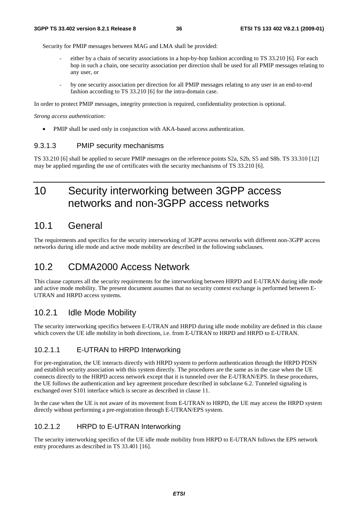Security for PMIP messages between MAG and LMA shall be provided:

- either by a chain of security associations in a hop-by-hop fashion according to TS 33.210 [6]. For each hop in such a chain, one security association per direction shall be used for all PMIP messages relating to any user, or
- *-* by one security association per direction for all PMIP messages relating to any user in an end-to-end fashion according to TS 33.210 [6] for the intra-domain case.

In order to protect PMIP messages, integrity protection is required, confidentiality protection is optional.

*Strong access authentication:* 

• PMIP shall be used only in conjunction with AKA-based access authentication.

### 9.3.1.3 PMIP security mechanisms

TS 33.210 [6] shall be applied to secure PMIP messages on the reference points S2a, S2b, S5 and S8b. TS 33.310 [12] may be applied regarding the use of certificates with the security mechanisms of TS 33.210 [6].

# 10 Security interworking between 3GPP access networks and non-3GPP access networks

## 10.1 General

The requirements and specifics for the security interworking of 3GPP access networks with different non-3GPP access networks during idle mode and active mode mobility are described in the following subclauses.

# 10.2 CDMA2000 Access Network

This clause captures all the security requirements for the interworking between HRPD and E-UTRAN during idle mode and active mode mobility. The present document assumes that no security context exchange is performed between E-UTRAN and HRPD access systems.

## 10.2.1 Idle Mode Mobility

The security interworking specifics between E-UTRAN and HRPD during idle mode mobility are defined in this clause which covers the UE idle mobility in both directions, i.e. from E-UTRAN to HRPD and HRPD to E-UTRAN.

### 10.2.1.1 E-UTRAN to HRPD Interworking

For pre-registration, the UE interacts directly with HRPD system to perform authentication through the HRPD PDSN and establish security association with this system directly. The procedures are the same as in the case when the UE connects directly to the HRPD access network except that it is tunneled over the E-UTRAN/EPS. In these procedures, the UE follows the authentication and key agreement procedure described in subclause 6.2. Tunneled signaling is exchanged over S101 interface which is secure as described in clause 11.

In the case when the UE is not aware of its movement from E-UTRAN to HRPD, the UE may access the HRPD system directly without performing a pre-registration through E-UTRAN/EPS system.

### 10.2.1.2 HRPD to E-UTRAN Interworking

The security interworking specifics of the UE idle mode mobility from HRPD to E-UTRAN follows the EPS network entry procedures as described in TS 33.401 [16].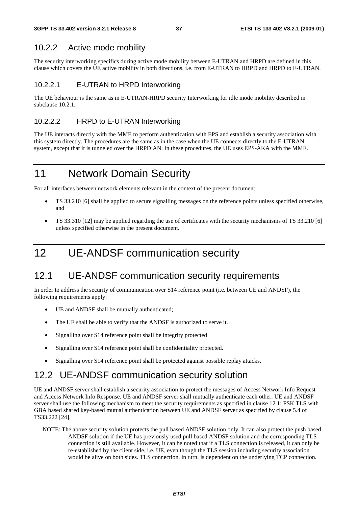## 10.2.2 Active mode mobility

The security interworking specifics during active mode mobility between E-UTRAN and HRPD are defined in this clause which covers the UE active mobility in both directions, i.e. from E-UTRAN to HRPD and HRPD to E-UTRAN.

### 10.2.2.1 E-UTRAN to HRPD Interworking

The UE behaviour is the same as in E-UTRAN-HRPD security Interworking for idle mode mobility described in subclause 10.2.1.

### 10.2.2.2 HRPD to E-UTRAN Interworking

The UE interacts directly with the MME to perform authentication with EPS and establish a security association with this system directly. The procedures are the same as in the case when the UE connects directly to the E-UTRAN system, except that it is tunneled over the HRPD AN. In these procedures, the UE uses EPS-AKA with the MME.

# 11 Network Domain Security

For all interfaces between network elements relevant in the context of the present document,

- TS 33.210 [6] shall be applied to secure signalling messages on the reference points unless specified otherwise, and
- TS 33.310 [12] may be applied regarding the use of certificates with the security mechanisms of TS 33.210 [6] unless specified otherwise in the present document.

# 12 UE-ANDSF communication security

## 12.1 UE-ANDSF communication security requirements

In order to address the security of communication over S14 reference point (i.e. between UE and ANDSF), the following requirements apply:

- UE and ANDSF shall be mutually authenticated;
- The UE shall be able to verify that the ANDSF is authorized to serve it.
- Signalling over S14 reference point shall be integrity protected
- Signalling over S14 reference point shall be confidentiality protected.
- Signalling over S14 reference point shall be protected against possible replay attacks.

# 12.2 UE-ANDSF communication security solution

UE and ANDSF server shall establish a security association to protect the messages of Access Network Info Request and Access Network Info Response. UE and ANDSF server shall mutually authenticate each other. UE and ANDSF server shall use the following mechanism to meet the security requirements as specified in clause 12.1: PSK TLS with GBA based shared key-based mutual authentication between UE and ANDSF server as specified by clause 5.4 of TS33.222 [24].

NOTE: The above security solution protects the pull based ANDSF solution only. It can also protect the push based ANDSF solution if the UE has previously used pull based ANDSF solution and the corresponding TLS connection is still available. However, it can be noted that if a TLS connection is released, it can only be re-established by the client side, i.e. UE, even though the TLS session including security association would be alive on both sides. TLS connection, in turn, is dependent on the underlying TCP connection.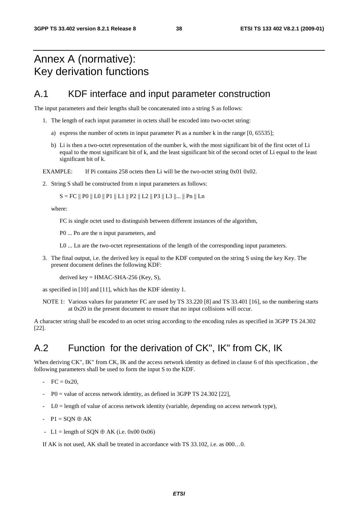# Annex A (normative): Key derivation functions

## A.1 KDF interface and input parameter construction

The input parameters and their lengths shall be concatenated into a string S as follows:

- 1. The length of each input parameter in octets shall be encoded into two-octet string:
	- a) express the number of octets in input parameter Pi as a number k in the range [0, 65535];
	- b) Li is then a two-octet representation of the number k, with the most significant bit of the first octet of Li equal to the most significant bit of k, and the least significant bit of the second octet of Li equal to the least significant bit of k.

EXAMPLE: If Pi contains 258 octets then Li will be the two-octet string 0x01 0x02.

2. String S shall be constructed from n input parameters as follows:

 $S = FC \parallel PO \parallel LO \parallel P1 \parallel L1 \parallel P2 \parallel L2 \parallel P3 \parallel L3 \parallel ... \parallel Pn \parallel Ln$ 

where:

FC is single octet used to distinguish between different instances of the algorithm,

P0 ... Pn are the n input parameters, and

L0 ... Ln are the two-octet representations of the length of the corresponding input parameters.

3. The final output, i.e. the derived key is equal to the KDF computed on the string S using the key Key. The present document defines the following KDF:

derived key =  $HMAC-SHA-256$  (Key, S),

as specified in [10] and [11], which has the KDF identity 1.

NOTE 1: Various values for parameter FC are used by TS 33.220 [8] and TS 33.401 [16], so the numbering starts at 0x20 in the present document to ensure that no input collisions will occur.

A character string shall be encoded to an octet string according to the encoding rules as specified in 3GPP TS 24.302 [22].

# A.2 Function for the derivation of CK", IK" from CK, IK

When deriving CK", IK" from CK, IK and the access network identity as defined in clause 6 of this specification, the following parameters shall be used to form the input S to the KDF.

- $FC = 0x20,$
- $-$  P0 = value of access network identity, as defined in 3GPP TS 24.302 [22],
- $-$  L0 = length of value of access network identity (variable, depending on access network type),
- $-P1 = SON \oplus AK$
- L1 = length of SON  $\oplus$  AK (i.e. 0x00 0x06)

If AK is not used, AK shall be treated in accordance with TS 33.102, i.e. as 000…0.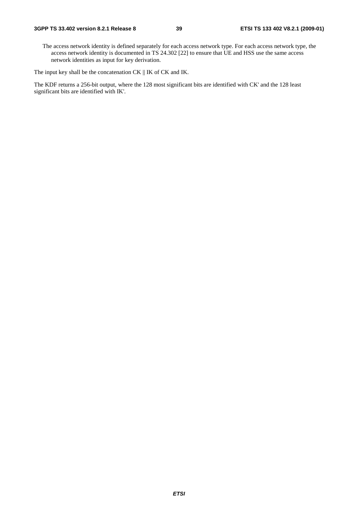The access network identity is defined separately for each access network type. For each access network type, the access network identity is documented in TS 24.302 [22] to ensure that UE and HSS use the same access network identities as input for key derivation.

The input key shall be the concatenation CK || IK of CK and IK.

The KDF returns a 256-bit output, where the 128 most significant bits are identified with CK' and the 128 least significant bits are identified with IK'.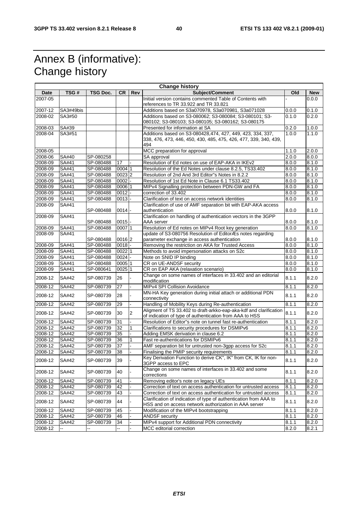# Annex B (informative): Change history

 $\mathbf{r}$ 

|         |              |           |        |     | <b>Change history</b>                                                                                                                 |       |            |
|---------|--------------|-----------|--------|-----|---------------------------------------------------------------------------------------------------------------------------------------|-------|------------|
| Date    | TSG#         | TSG Doc.  | CR.    | Rev | Subject/Comment                                                                                                                       | Old   | <b>New</b> |
| 2007-05 |              |           |        |     | Initial version contains commented Table of Contents with<br>references to TR 33.922 and TR 33.821                                    |       | 0.0.0      |
| 2007-12 | SA3#49bis    |           |        |     | Additions based on S3a070978, S3a070981, S3a071028                                                                                    | 0.0.0 | 0.1.0      |
| 2008-02 | SA3#50       |           |        |     | Additions based on S3-080062; S3-080084; S3-080101; S3-<br>080102; S3-080103; S3-080105; S3-080162; S3-080175                         | 0.1.0 | 0.2.0      |
| 2008-03 | SA#39        |           |        |     | Presented for information at SA                                                                                                       | 0.2.0 | 1.0.0      |
| 2008-04 | SA3#51       |           |        |     | Additions based on S3-080428,474, 427, 449, 423, 334, 337,<br>338, 476, 473, 446, 450, 430, 485, 475, 426, 477, 339, 340, 439,<br>494 | 1.0.0 | 1.1.0      |
| 2008-05 |              |           |        |     | MCC preparation for approval                                                                                                          | 1.1.0 | 2.0.0      |
| 2008-06 | SA#40        | SP-080258 |        |     | SA approval                                                                                                                           | 2.0.0 | 8.0.0      |
| 2008-09 | SA#41        | SP-080488 | 17     |     | Resolution of Ed notes on use of EAP-AKA in IKEv2                                                                                     | 8.0.0 | 8.1.0      |
| 2008-09 | SA#41        | SP-080488 | 0004 1 |     | Resolution of the Ed Notes under clause 8.2.5, TS33.402                                                                               | 8.0.0 | 8.1.0      |
| 2008-09 | SA#41        | SP-080488 | 0023 2 |     | Resolution of 2nd And 3rd Editor"s Notes in 8.2.2                                                                                     | 8.0.0 | 8.1.0      |
| 2008-09 | SA#41        | SP-080488 | 0002   |     | Resolution of 1st Ed Note in Clause 6.1 TS33.402                                                                                      | 8.0.0 | 8.1.0      |
| 2008-09 | SA#41        | SP-080488 | 000611 |     | MIPv4 Signalling protection between PDN-GW and FA                                                                                     | 8.0.0 | 8.1.0      |
| 2008-09 | SA#41        | SP-080488 | 0012   |     | correction of 33.402                                                                                                                  | 8.0.0 | 8.1.0      |
| 2008-09 | SA#41        | SP-080488 | 0013   |     | Clarification of text on access network identities                                                                                    | 8.0.0 | 8.1.0      |
| 2008-09 | SA#41        | SP-080488 | 0014   |     | Clarification of use of AMF separation bit with EAP-AKA access<br>authentication                                                      | 8.0.0 | 8.1.0      |
| 2008-09 | SA#41        | SP-080488 | 0015   |     | Clarification on handling of authentication vectors in the 3GPP<br>AAA server                                                         | 8.0.0 | 8.1.0      |
| 2008-09 | SA#41        | SP-080488 | 0007 1 |     | Resolution of Ed notes on MIPv4 Root key generation                                                                                   | 8.0.0 | 8.1.0      |
| 2008-09 | SA#41        | SP-080488 | 0016 2 |     | update of S3-080756 Resolution of EditorÆs notes regarding<br>parameter exchange in access authentication                             | 8.0.0 | 8.1.0      |
| 2008-09 | SA#41        | SP-080488 | 0018   |     | Removing the restriction on AKA for Trusted Access                                                                                    | 8.0.0 | 8.1.0      |
| 2008-09 | SA#41        | SP-080488 | 0022 1 |     | Methods to avoid impersonation attacks on S2c                                                                                         | 8.0.0 | 8.1.0      |
| 2008-09 | SA#41        | SP-080488 | 0024   |     | Note on SNID IP binding                                                                                                               | 8.0.0 | 8.1.0      |
| 2008-09 | SA#41        | SP-080488 | 0005 1 |     | CR on UE-ANDSF security                                                                                                               | 8.0.0 | 8.1.0      |
| 2008-09 | SA#41        | SP-080641 | 0025 1 |     | CR on EAP AKA (relaxation scenario)                                                                                                   | 8.0.0 | 8.1.0      |
| 2008-12 | SA#42        | SP-080739 | 26     |     | Change on some names of interfaces in 33.402 and an editorial<br>modification                                                         | 8.1.1 | 8.2.0      |
| 2008-12 | SA#42        | SP-080739 | 27     |     | MIPv4 SPI Collision Avoidance                                                                                                         | 8.1.1 | 8.2.0      |
| 2008-12 | SA#42        | SP-080739 | 28     |     | MN-HA Key generation during initial attach or additional PDN<br>connectivity                                                          | 8.1.1 | 8.2.0      |
| 2008-12 | SA#42        | SP-080739 | 29     |     | Handling of Mobility Keys during Re-authentication                                                                                    | 8.1.1 | 8.2.0      |
|         |              |           |        |     | Aligment of TS 33.402 to draft-arkko-eap-aka-kdf and clarification                                                                    |       |            |
| 2008-12 | SA#42        | SP-080739 | 30     | 2   | of indication of type of authentication from AAA to HSS                                                                               | 8.1.1 | 8.2.0      |
| 2008-12 | SA#42        | SP-080739 | 31     |     | Resolution of Editor"s note on tunnel fast re-authentication                                                                          | 8.1.1 | 8.2.0      |
| 2008-12 | <b>SA#42</b> | SP-080739 | 32     |     | Clarifications to security procedures for DSMIPv6                                                                                     | 8.1.1 | 8.2.0      |
| 2008-12 | SA#42        | SP-080739 | 35     |     | Adding EMSK derivation in clause 6.2                                                                                                  | 8.1.1 | 8.2.0      |
| 2008-12 | SA#42        | SP-080739 | 36     |     | Fast re-authentications for DSMIPv6                                                                                                   | 8.1.1 | 8.2.0      |
| 2008-12 | SA#42        | SP-080739 | 37     |     | AMF separation bit for untrusted non-3gpp access for S2c                                                                              | 8.1.1 | 8.2.0      |
| 2008-12 | SA#42        | SP-080739 | 38     |     | Finalising the PMIP security requirements                                                                                             | 8.1.1 | 8.2.0      |
| 2008-12 | SA#42        | SP-080739 | 39     |     | Key Derivation Function to derive CK", IK" from CK, IK for non-<br>3GPP access to EPC                                                 | 8.1.1 | 8.2.0      |
| 2008-12 | SA#42        | SP-080739 | 40     |     | Change on some names of interfaces in 33.402 and some<br>corrections                                                                  | 8.1.1 | 8.2.0      |
| 2008-12 | SA#42        | SP-080739 | 41     |     | Removing editor's note on legacy UEs                                                                                                  | 8.1.1 | 8.2.0      |
| 2008-12 | SA#42        | SP-080739 | 42     |     | Correction of text on access authentication for untrusted access                                                                      | 8.1.1 | 8.2.0      |
| 2008-12 | SA#42        | SP-080739 | 43     |     | Correction of text on access authentication for untrusted access                                                                      | 8.1.1 | 8.2.0      |
| 2008-12 | SA#42        | SP-080739 | 44     |     | Clarification of indication of type of authentication from AAA to<br>HSS and on access network authorization in AAA server            | 8.1.1 | 8.2.0      |
| 2008-12 | SA#42        | SP-080739 | 45     |     | Modification of the MIPv4 bootstrapping                                                                                               | 8.1.1 | 8.2.0      |
| 2008-12 | SA#42        | SP-080739 | 46     |     | <b>ANDSF</b> security                                                                                                                 | 8.1.1 | 8.2.0      |
| 2008-12 | SA#42        | SP-080739 | 34     |     | MIPv4 support for Additional PDN connectivity                                                                                         | 8.1.1 | 8.2.0      |
| 2008-12 |              |           |        |     | MCC editorial correction                                                                                                              | 8.2.0 | 8.2.1      |